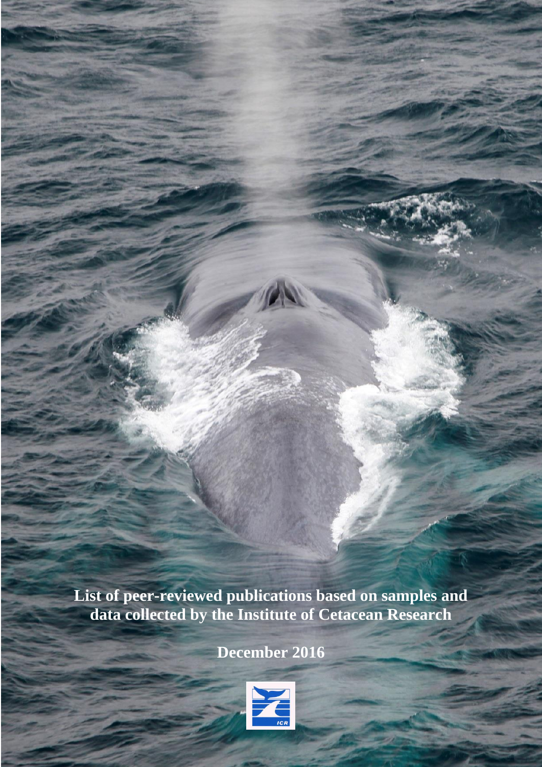**List of peer-reviewed publications based on samples and data collected by the Institute of Cetacean Research**

**December 2016**

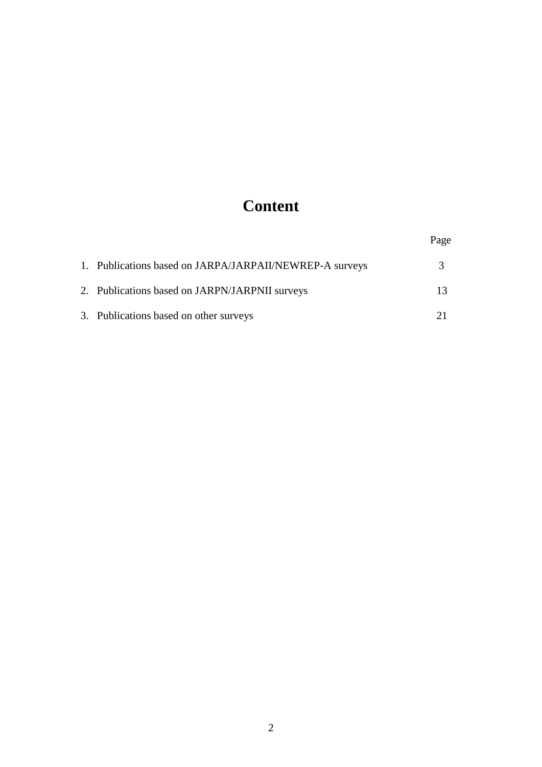# **Content**

|                                                         | Page |
|---------------------------------------------------------|------|
| 1. Publications based on JARPA/JARPAII/NEWREP-A surveys |      |
| 2. Publications based on JARPN/JARPNII surveys          |      |
| 3. Publications based on other surveys                  |      |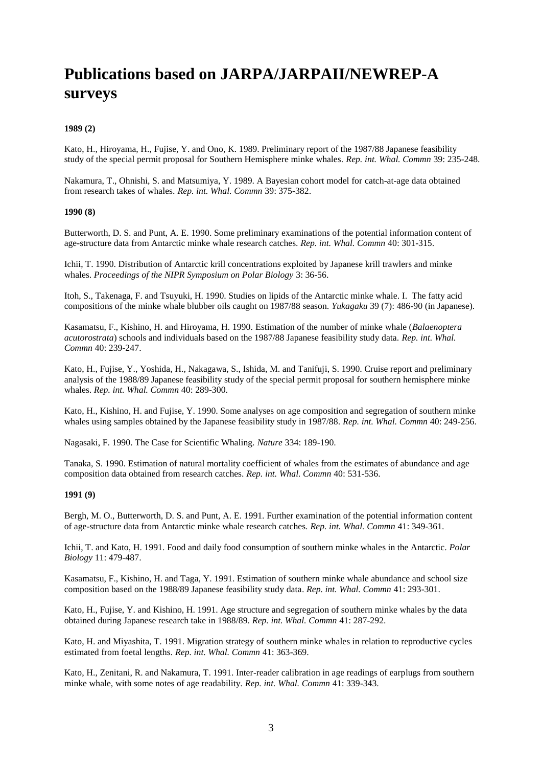## **Publications based on JARPA/JARPAII/NEWREP-A surveys**

## **1989 (2)**

Kato, H., Hiroyama, H., Fujise, Y. and Ono, K. 1989. Preliminary report of the 1987/88 Japanese feasibility study of the special permit proposal for Southern Hemisphere minke whales. *Rep. int. Whal. Commn* 39: 235-248.

Nakamura, T., Ohnishi, S. and Matsumiya, Y. 1989. A Bayesian cohort model for catch-at-age data obtained from research takes of whales. *Rep. int. Whal. Commn* 39: 375-382.

#### **1990 (8)**

Butterworth, D. S. and Punt, A. E. 1990. Some preliminary examinations of the potential information content of age-structure data from Antarctic minke whale research catches. *Rep. int. Whal. Commn* 40: 301-315.

Ichii, T. 1990. Distribution of Antarctic krill concentrations exploited by Japanese krill trawlers and minke whales. *Proceedings of the NIPR Symposium on Polar Biology* 3: 36-56.

Itoh, S., Takenaga, F. and Tsuyuki, H. 1990. Studies on lipids of the Antarctic minke whale. I. The fatty acid compositions of the minke whale blubber oils caught on 1987/88 season. *Yukagaku* 39 (7): 486-90 (in Japanese).

Kasamatsu, F., Kishino, H. and Hiroyama, H. 1990. Estimation of the number of minke whale (*Balaenoptera acutorostrata*) schools and individuals based on the 1987/88 Japanese feasibility study data. *Rep. int. Whal. Commn* 40: 239-247.

Kato, H., Fujise, Y., Yoshida, H., Nakagawa, S., Ishida, M. and Tanifuji, S. 1990. Cruise report and preliminary analysis of the 1988/89 Japanese feasibility study of the special permit proposal for southern hemisphere minke whales. *Rep. int. Whal. Commn* 40: 289-300.

Kato, H., Kishino, H. and Fujise, Y. 1990. Some analyses on age composition and segregation of southern minke whales using samples obtained by the Japanese feasibility study in 1987/88. *Rep. int. Whal. Commn* 40: 249-256.

Nagasaki, F. 1990. The Case for Scientific Whaling. *Nature* 334: 189-190.

Tanaka, S. 1990. Estimation of natural mortality coefficient of whales from the estimates of abundance and age composition data obtained from research catches. *Rep. int. Whal. Commn* 40: 531-536.

## **1991 (9)**

Bergh, M. O., Butterworth, D. S. and Punt, A. E. 1991. Further examination of the potential information content of age-structure data from Antarctic minke whale research catches. *Rep. int. Whal. Commn* 41: 349-361.

Ichii, T. and Kato, H. 1991. Food and daily food consumption of southern minke whales in the Antarctic. *Polar Biology* 11: 479-487.

Kasamatsu, F., Kishino, H. and Taga, Y. 1991. Estimation of southern minke whale abundance and school size composition based on the 1988/89 Japanese feasibility study data. *Rep. int. Whal. Commn* 41: 293-301.

Kato, H., Fujise, Y. and Kishino, H. 1991. Age structure and segregation of southern minke whales by the data obtained during Japanese research take in 1988/89. *Rep. int. Whal. Commn* 41: 287-292.

Kato, H. and Miyashita, T. 1991. Migration strategy of southern minke whales in relation to reproductive cycles estimated from foetal lengths. *Rep. int. Whal. Commn* 41: 363-369.

Kato, H., Zenitani, R. and Nakamura, T. 1991. Inter-reader calibration in age readings of earplugs from southern minke whale, with some notes of age readability. *Rep. int. Whal. Commn* 41: 339-343.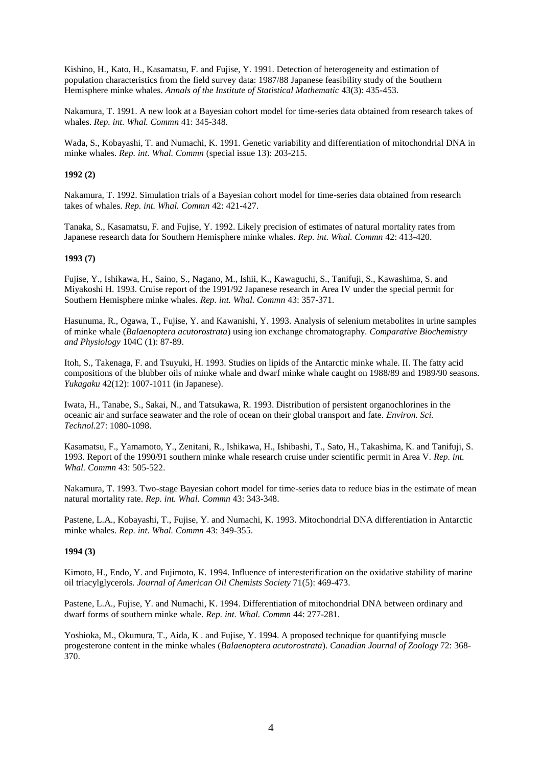Kishino, H., Kato, H., Kasamatsu, F. and Fujise, Y. 1991. Detection of heterogeneity and estimation of population characteristics from the field survey data: 1987/88 Japanese feasibility study of the Southern Hemisphere minke whales. *Annals of the Institute of Statistical Mathematic* 43(3): 435-453.

Nakamura, T. 1991. A new look at a Bayesian cohort model for time-series data obtained from research takes of whales. *Rep. int. Whal. Commn* 41: 345-348.

Wada, S., Kobayashi, T. and Numachi, K. 1991. Genetic variability and differentiation of mitochondrial DNA in minke whales. *Rep. int. Whal. Commn* (special issue 13): 203-215.

#### **1992 (2)**

Nakamura, T. 1992. Simulation trials of a Bayesian cohort model for time-series data obtained from research takes of whales. *Rep. int. Whal. Commn* 42: 421-427.

Tanaka, S., Kasamatsu, F. and Fujise, Y. 1992. Likely precision of estimates of natural mortality rates from Japanese research data for Southern Hemisphere minke whales. *Rep. int. Whal. Commn* 42: 413-420.

#### **1993 (7)**

Fujise, Y., Ishikawa, H., Saino, S., Nagano, M., Ishii, K., Kawaguchi, S., Tanifuji, S., Kawashima, S. and Miyakoshi H. 1993. Cruise report of the 1991/92 Japanese research in Area IV under the special permit for Southern Hemisphere minke whales. *Rep. int. Whal. Commn* 43: 357-371.

Hasunuma, R., Ogawa, T., Fujise, Y. and Kawanishi, Y. 1993. Analysis of selenium metabolites in urine samples of minke whale (*Balaenoptera acutorostrata*) using ion exchange chromatography. *Comparative Biochemistry and Physiology* 104C (1): 87-89.

Itoh, S., Takenaga, F. and Tsuyuki, H. 1993. Studies on lipids of the Antarctic minke whale. II. The fatty acid compositions of the blubber oils of minke whale and dwarf minke whale caught on 1988/89 and 1989/90 seasons. *Yukagaku* 42(12): 1007-1011 (in Japanese).

Iwata, H., Tanabe, S., Sakai, N., and Tatsukawa, R. 1993. Distribution of persistent organochlorines in the oceanic air and surface seawater and the role of ocean on their global transport and fate. *Environ. Sci. Technol.*27: 1080-1098.

Kasamatsu, F., Yamamoto, Y., Zenitani, R., Ishikawa, H., Ishibashi, T., Sato, H., Takashima, K. and Tanifuji, S. 1993. Report of the 1990/91 southern minke whale research cruise under scientific permit in Area V. *Rep. int. Whal. Commn* 43: 505-522.

Nakamura, T. 1993. Two-stage Bayesian cohort model for time-series data to reduce bias in the estimate of mean natural mortality rate. *Rep. int. Whal. Commn* 43: 343-348.

Pastene, L.A., Kobayashi, T., Fujise, Y. and Numachi, K. 1993. Mitochondrial DNA differentiation in Antarctic minke whales. *Rep. int. Whal. Commn* 43: 349-355.

#### **1994 (3)**

Kimoto, H., Endo, Y. and Fujimoto, K. 1994. Influence of interesterification on the oxidative stability of marine oil triacylglycerols. *Journal of American Oil Chemists Society* 71(5): 469-473.

Pastene, L.A., Fujise, Y. and Numachi, K. 1994. Differentiation of mitochondrial DNA between ordinary and dwarf forms of southern minke whale. *Rep. int. Whal. Commn* 44: 277-281.

Yoshioka, M., Okumura, T., Aida, K . and Fujise, Y. 1994. A proposed technique for quantifying muscle progesterone content in the minke whales (*Balaenoptera acutorostrata*). *Canadian Journal of Zoology* 72: 368- 370.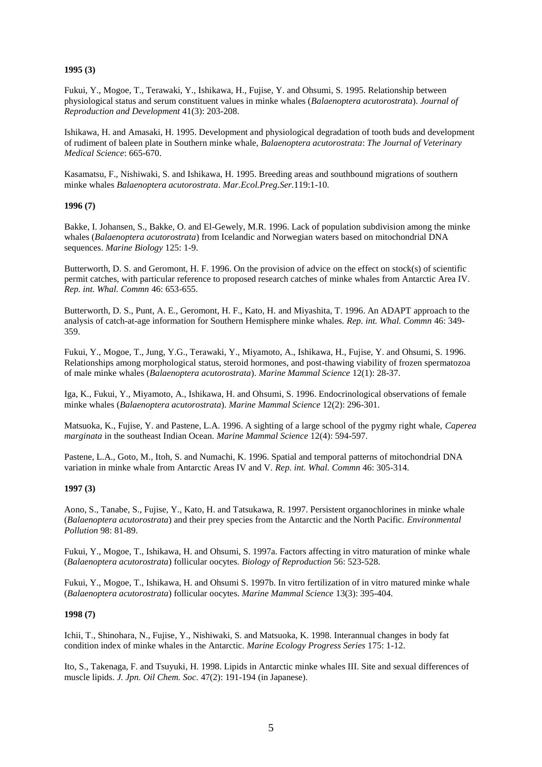## **1995 (3)**

Fukui, Y., Mogoe, T., Terawaki, Y., Ishikawa, H., Fujise, Y. and Ohsumi, S. 1995. Relationship between physiological status and serum constituent values in minke whales (*Balaenoptera acutorostrata*). *Journal of Reproduction and Development* 41(3): 203-208.

Ishikawa, H. and Amasaki, H. 1995. Development and physiological degradation of tooth buds and development of rudiment of baleen plate in Southern minke whale, *Balaenoptera acutorostrata*: *The Journal of Veterinary Medical Science*: 665-670.

Kasamatsu, F., Nishiwaki, S. and Ishikawa, H. 1995. Breeding areas and southbound migrations of southern minke whales *Balaenoptera acutorostrata*. *Mar.Ecol.Preg.Ser.*119:1-10.

#### **1996 (7)**

Bakke, I. Johansen, S., Bakke, O. and El-Gewely, M.R. 1996. Lack of population subdivision among the minke whales (*Balaenoptera acutorostrata*) from Icelandic and Norwegian waters based on mitochondrial DNA sequences. *Marine Biology* 125: 1-9.

Butterworth, D. S. and Geromont, H. F. 1996. On the provision of advice on the effect on stock(s) of scientific permit catches, with particular reference to proposed research catches of minke whales from Antarctic Area IV. *Rep. int. Whal. Commn* 46: 653-655.

Butterworth, D. S., Punt, A. E., Geromont, H. F., Kato, H. and Miyashita, T. 1996. An ADAPT approach to the analysis of catch-at-age information for Southern Hemisphere minke whales. *Rep. int. Whal. Commn* 46: 349- 359.

Fukui, Y., Mogoe, T., Jung, Y.G., Terawaki, Y., Miyamoto, A., Ishikawa, H., Fujise, Y. and Ohsumi, S. 1996. Relationships among morphological status, steroid hormones, and post-thawing viability of frozen spermatozoa of male minke whales (*Balaenoptera acutorostrata*). *Marine Mammal Science* 12(1): 28-37.

Iga, K., Fukui, Y., Miyamoto, A., Ishikawa, H. and Ohsumi, S. 1996. Endocrinological observations of female minke whales (*Balaenoptera acutorostrata*). *Marine Mammal Science* 12(2): 296-301.

Matsuoka, K., Fujise, Y. and Pastene, L.A. 1996. A sighting of a large school of the pygmy right whale, *Caperea marginata* in the southeast Indian Ocean. *Marine Mammal Science* 12(4): 594-597.

Pastene, L.A., Goto, M., Itoh, S. and Numachi, K. 1996. Spatial and temporal patterns of mitochondrial DNA variation in minke whale from Antarctic Areas IV and V. *Rep. int. Whal. Commn* 46: 305-314.

#### **1997 (3)**

Aono, S., Tanabe, S., Fujise, Y., Kato, H. and Tatsukawa, R. 1997. Persistent organochlorines in minke whale (*Balaenoptera acutorostrata*) and their prey species from the Antarctic and the North Pacific. *Environmental Pollution* 98: 81-89.

Fukui, Y., Mogoe, T., Ishikawa, H. and Ohsumi, S. 1997a. Factors affecting in vitro maturation of minke whale (*Balaenoptera acutorostrata*) follicular oocytes. *Biology of Reproduction* 56: 523-528.

Fukui, Y., Mogoe, T., Ishikawa, H. and Ohsumi S. 1997b. In vitro fertilization of in vitro matured minke whale (*Balaenoptera acutorostrata*) follicular oocytes. *Marine Mammal Science* 13(3): 395-404.

#### **1998 (7)**

Ichii, T., Shinohara, N., Fujise, Y., Nishiwaki, S. and Matsuoka, K. 1998. Interannual changes in body fat condition index of minke whales in the Antarctic. *Marine Ecology Progress Series* 175: 1-12.

Ito, S., Takenaga, F. and Tsuyuki, H. 1998. Lipids in Antarctic minke whales III. Site and sexual differences of muscle lipids. *J. Jpn. Oil Chem. Soc.* 47(2): 191-194 (in Japanese).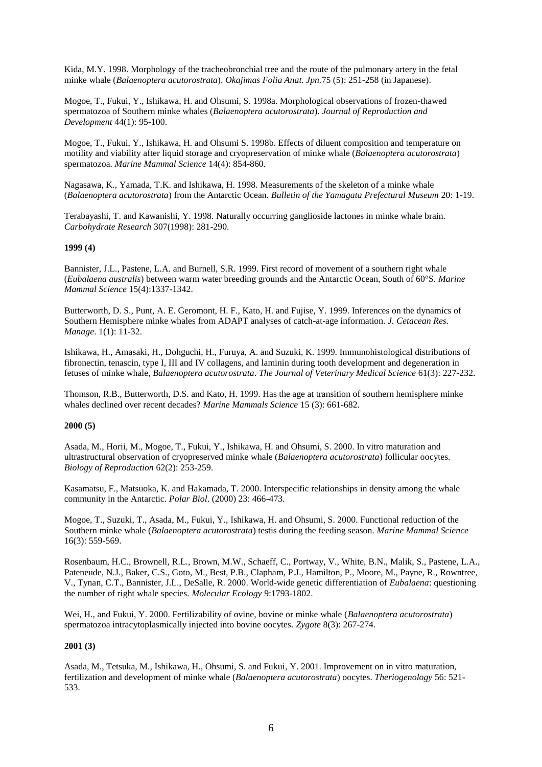Kida, M.Y. 1998. Morphology of the tracheobronchial tree and the route of the pulmonary artery in the fetal minke whale (*Balaenoptera acutorostrata*). *Okajimas Folia Anat. Jpn.*75 (5): 251-258 (in Japanese).

Mogoe, T., Fukui, Y., Ishikawa, H. and Ohsumi, S. 1998a. Morphological observations of frozen-thawed spermatozoa of Southern minke whales (*Balaenoptera acutorostrata*). *Journal of Reproduction and Development* 44(1): 95-100.

Mogoe, T., Fukui, Y., Ishikawa, H. and Ohsumi S. 1998b. Effects of diluent composition and temperature on motility and viability after liquid storage and cryopreservation of minke whale (*Balaenoptera acutorostrata*) spermatozoa. *Marine Mammal Science* 14(4): 854-860.

Nagasawa, K., Yamada, T.K. and Ishikawa, H. 1998. Measurements of the skeleton of a minke whale (*Balaenoptera acutorostrata*) from the Antarctic Ocean. *Bulletin of the Yamagata Prefectural Museum* 20: 1-19.

Terabayashi, T. and Kawanishi, Y. 1998. Naturally occurring ganglioside lactones in minke whale brain. *Carbohydrate Research* 307(1998): 281-290.

## **1999 (4)**

Bannister, J.L., Pastene, L.A. and Burnell, S.R. 1999. First record of movement of a southern right whale (*Eubalaena australis*) between warm water breeding grounds and the Antarctic Ocean, South of 60°S. *Marine Mammal Science* 15(4):1337-1342.

Butterworth, D. S., Punt, A. E. Geromont, H. F., Kato, H. and Fujise, Y. 1999. Inferences on the dynamics of Southern Hemisphere minke whales from ADAPT analyses of catch-at-age information. *J. Cetacean Res. Manage*. 1(1): 11-32.

Ishikawa, H., Amasaki, H., Dohguchi, H., Furuya, A. and Suzuki, K. 1999. Immunohistological distributions of fibronectin, tenascin, type I, III and IV collagens, and laminin during tooth development and degeneration in fetuses of minke whale, *Balaenoptera acutorostrata*. *The Journal of Veterinary Medical Science* 61(3): 227-232.

Thomson, R.B., Butterworth, D.S. and Kato, H. 1999. Has the age at transition of southern hemisphere minke whales declined over recent decades? *Marine Mammals Science* 15 (3): 661-682.

#### **2000 (5)**

Asada, M., Horii, M., Mogoe, T., Fukui, Y., Ishikawa, H. and Ohsumi, S. 2000. In vitro maturation and ultrastructural observation of cryopreserved minke whale (*Balaenoptera acutorostrata*) follicular oocytes. *Biology of Reproduction* 62(2): 253-259.

Kasamatsu, F., Matsuoka, K. and Hakamada, T. 2000. Interspecific relationships in density among the whale community in the Antarctic. *Polar Biol*. (2000) 23: 466-473.

Mogoe, T., Suzuki, T., Asada, M., Fukui, Y., Ishikawa, H. and Ohsumi, S. 2000. Functional reduction of the Southern minke whale (*Balaenoptera acutorostrata*) testis during the feeding season. *Marine Mammal Science* 16(3): 559-569.

Rosenbaum, H.C., Brownell, R.L., Brown, M.W., Schaeff, C., Portway, V., White, B.N., Malik, S., Pastene, L.A., Pateneude, N.J., Baker, C.S., Goto, M., Best, P.B., Clapham, P.J., Hamilton, P., Moore, M., Payne, R., Rowntree, V., Tynan, C.T., Bannister, J.L., DeSalle, R. 2000. World-wide genetic differentiation of *Eubalaena*: questioning the number of right whale species. *Molecular Ecology* 9:1793-1802.

Wei, H., and Fukui, Y. 2000. Fertilizability of ovine, bovine or minke whale (*Balaenoptera acutorostrata*) spermatozoa intracytoplasmically injected into bovine oocytes. *Zygote* 8(3): 267-274.

#### **2001 (3)**

Asada, M., Tetsuka, M., Ishikawa, H., Ohsumi, S. and Fukui, Y. 2001. Improvement on in vitro maturation, fertilization and development of minke whale (*Balaenoptera acutorostrata*) oocytes. *Theriogenology* 56: 521- 533.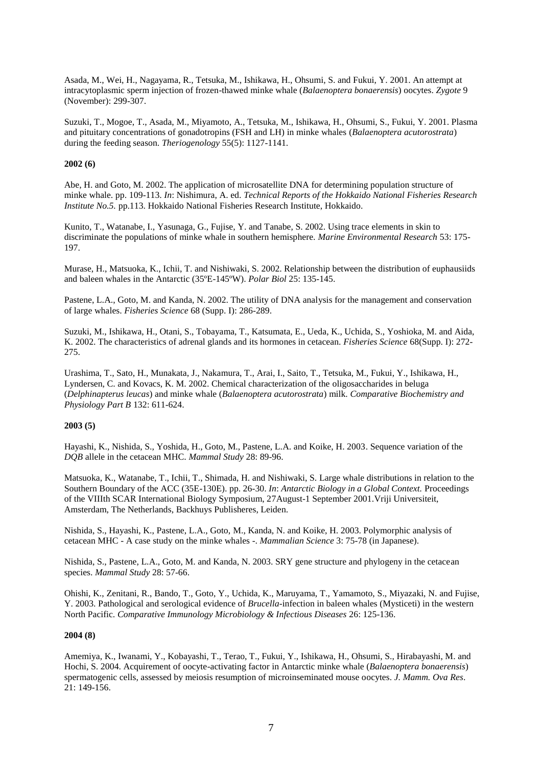Asada, M., Wei, H., Nagayama, R., Tetsuka, M., Ishikawa, H., Ohsumi, S. and Fukui, Y. 2001. An attempt at intracytoplasmic sperm injection of frozen-thawed minke whale (*Balaenoptera bonaerensis*) oocytes. *Zygote* 9 (November): 299-307.

Suzuki, T., Mogoe, T., Asada, M., Miyamoto, A., Tetsuka, M., Ishikawa, H., Ohsumi, S., Fukui, Y. 2001. Plasma and pituitary concentrations of gonadotropins (FSH and LH) in minke whales (*Balaenoptera acutorostrata*) during the feeding season. *Theriogenology* 55(5): 1127-1141.

## **2002 (6)**

Abe, H. and Goto, M. 2002. The application of microsatellite DNA for determining population structure of minke whale. pp. 109-113. *In*: Nishimura, A. ed. *Technical Reports of the Hokkaido National Fisheries Research Institute No.5.* pp.113. Hokkaido National Fisheries Research Institute, Hokkaido.

Kunito, T., Watanabe, I., Yasunaga, G., Fujise, Y. and Tanabe, S. 2002. Using trace elements in skin to discriminate the populations of minke whale in southern hemisphere. *Marine Environmental Research* 53: 175- 197.

Murase, H., Matsuoka, K., Ichii, T. and Nishiwaki, S. 2002. Relationship between the distribution of euphausiids and baleen whales in the Antarctic (35ºE-145ºW). *Polar Biol* 25: 135-145.

Pastene, L.A., Goto, M. and Kanda, N. 2002. The utility of DNA analysis for the management and conservation of large whales. *Fisheries Science* 68 (Supp. I): 286-289.

Suzuki, M., Ishikawa, H., Otani, S., Tobayama, T., Katsumata, E., Ueda, K., Uchida, S., Yoshioka, M. and Aida, K. 2002. The characteristics of adrenal glands and its hormones in cetacean. *Fisheries Science* 68(Supp. I): 272- 275.

Urashima, T., Sato, H., Munakata, J., Nakamura, T., Arai, I., Saito, T., Tetsuka, M., Fukui, Y., Ishikawa, H., Lyndersen, C. and Kovacs, K. M. 2002. Chemical characterization of the oligosaccharides in beluga (*Delphinapterus leucas*) and minke whale (*Balaenoptera acutorostrata*) milk. *Comparative Biochemistry and Physiology Part B* 132: 611-624.

## **2003 (5)**

Hayashi, K., Nishida, S., Yoshida, H., Goto, M., Pastene, L.A. and Koike, H. 2003. Sequence variation of the *DQB* allele in the cetacean MHC. *Mammal Study* 28: 89-96.

Matsuoka, K., Watanabe, T., Ichii, T., Shimada, H. and Nishiwaki, S. Large whale distributions in relation to the Southern Boundary of the ACC (35E-130E). pp. 26-30. *In*: *Antarctic Biology in a Global Context.* Proceedings of the VIIIth SCAR International Biology Symposium, 27August-1 September 2001.Vriji Universiteit, Amsterdam, The Netherlands, Backhuys Publisheres, Leiden.

Nishida, S., Hayashi, K., Pastene, L.A., Goto, M., Kanda, N. and Koike, H. 2003. Polymorphic analysis of cetacean MHC - A case study on the minke whales -. *Mammalian Science* 3: 75-78 (in Japanese).

Nishida, S., Pastene, L.A., Goto, M. and Kanda, N. 2003. SRY gene structure and phylogeny in the cetacean species. *Mammal Study* 28: 57-66.

Ohishi, K., Zenitani, R., Bando, T., Goto, Y., Uchida, K., Maruyama, T., Yamamoto, S., Miyazaki, N. and Fujise, Y. 2003. Pathological and serological evidence of *Brucella*-infection in baleen whales (Mysticeti) in the western North Pacific. *Comparative Immunology Microbiology & Infectious Diseases* 26: 125-136.

#### **2004 (8)**

Amemiya, K., Iwanami, Y., Kobayashi, T., Terao, T., Fukui, Y., Ishikawa, H., Ohsumi, S., Hirabayashi, M. and Hochi, S. 2004. Acquirement of oocyte-activating factor in Antarctic minke whale (*Balaenoptera bonaerensis*) spermatogenic cells, assessed by meiosis resumption of microinseminated mouse oocytes. *J. Mamm. Ova Res*. 21: 149-156.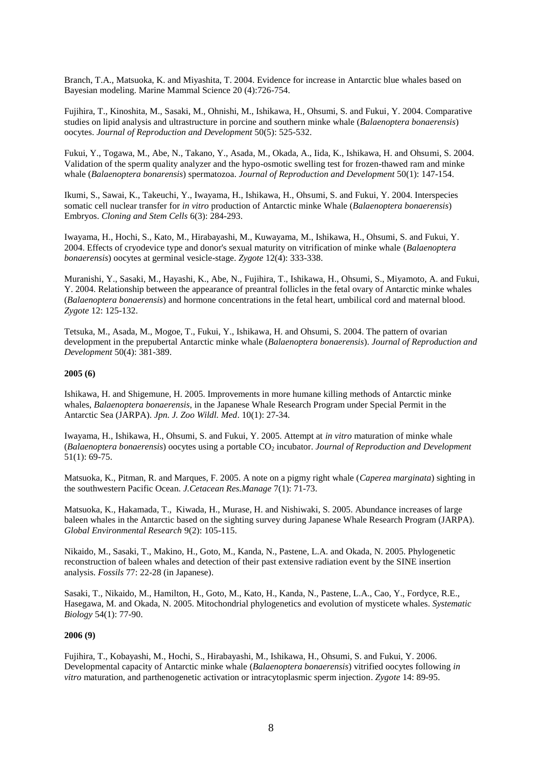Branch, T.A., Matsuoka, K. and Miyashita, T. 2004. Evidence for increase in Antarctic blue whales based on Bayesian modeling. Marine Mammal Science 20 (4):726-754.

Fujihira, T., Kinoshita, M., Sasaki, M., Ohnishi, M., Ishikawa, H., Ohsumi, S. and Fukui, Y. 2004. Comparative studies on lipid analysis and ultrastructure in porcine and southern minke whale (*Balaenoptera bonaerensis*) oocytes. *Journal of Reproduction and Development* 50(5): 525-532.

Fukui, Y., Togawa, M., Abe, N., Takano, Y., Asada, M., Okada, A., Iida, K., Ishikawa, H. and Ohsumi, S. 2004. Validation of the sperm quality analyzer and the hypo-osmotic swelling test for frozen-thawed ram and minke whale (*Balaenoptera bonarensis*) spermatozoa. *Journal of Reproduction and Development* 50(1): 147-154.

Ikumi, S., Sawai, K., Takeuchi, Y., Iwayama, H., Ishikawa, H., Ohsumi, S. and Fukui, Y. 2004. Interspecies somatic cell nuclear transfer for *in vitro* production of Antarctic minke Whale (*Balaenoptera bonaerensis*) Embryos. *Cloning and Stem Cells* 6(3): 284-293.

Iwayama, H., Hochi, S., Kato, M., Hirabayashi, M., Kuwayama, M., Ishikawa, H., Ohsumi, S. and Fukui, Y. 2004. Effects of cryodevice type and donor's sexual maturity on vitrification of minke whale (*Balaenoptera bonaerensis*) oocytes at germinal vesicle-stage. *Zygote* 12(4): 333-338.

Muranishi, Y., Sasaki, M., Hayashi, K., Abe, N., Fujihira, T., Ishikawa, H., Ohsumi, S., Miyamoto, A. and Fukui, Y. 2004. Relationship between the appearance of preantral follicles in the fetal ovary of Antarctic minke whales (*Balaenoptera bonaerensis*) and hormone concentrations in the fetal heart, umbilical cord and maternal blood. *Zygote* 12: 125-132.

Tetsuka, M., Asada, M., Mogoe, T., Fukui, Y., Ishikawa, H. and Ohsumi, S. 2004. The pattern of ovarian development in the prepubertal Antarctic minke whale (*Balaenoptera bonaerensis*). *Journal of Reproduction and Development* 50(4): 381-389.

## **2005 (6)**

Ishikawa, H. and Shigemune, H. 2005. Improvements in more humane killing methods of Antarctic minke whales, *Balaenoptera bonaerensis*, in the Japanese Whale Research Program under Special Permit in the Antarctic Sea (JARPA). *Jpn. J. Zoo Wildl. Med*. 10(1): 27-34.

Iwayama, H., Ishikawa, H., Ohsumi, S. and Fukui, Y. 2005. Attempt at *in vitro* maturation of minke whale (*Balaenoptera bonaerensis*) oocytes using a portable CO<sup>2</sup> incubator. *Journal of Reproduction and Development* 51(1): 69-75.

Matsuoka, K., Pitman, R. and Marques, F. 2005. A note on a pigmy right whale (*Caperea marginata*) sighting in the southwestern Pacific Ocean. *J.Cetacean Res.Manage* 7(1): 71-73.

Matsuoka, K., Hakamada, T., Kiwada, H., Murase, H. and Nishiwaki, S. 2005. Abundance increases of large baleen whales in the Antarctic based on the sighting survey during Japanese Whale Research Program (JARPA). *Global Environmental Research* 9(2): 105-115.

Nikaido, M., Sasaki, T., Makino, H., Goto, M., Kanda, N., Pastene, L.A. and Okada, N. 2005. Phylogenetic reconstruction of baleen whales and detection of their past extensive radiation event by the SINE insertion analysis. *Fossils* 77: 22-28 (in Japanese).

Sasaki, T., Nikaido, M., Hamilton, H., Goto, M., Kato, H., Kanda, N., Pastene, L.A., Cao, Y., Fordyce, R.E., Hasegawa, M. and Okada, N. 2005. Mitochondrial phylogenetics and evolution of mysticete whales. *Systematic Biology* 54(1): 77-90.

#### **2006 (9)**

Fujihira, T., Kobayashi, M., Hochi, S., Hirabayashi, M., Ishikawa, H., Ohsumi, S. and Fukui, Y. 2006. Developmental capacity of Antarctic minke whale (*Balaenoptera bonaerensis*) vitrified oocytes following *in vitro* maturation, and parthenogenetic activation or intracytoplasmic sperm injection. *Zygote* 14: 89-95.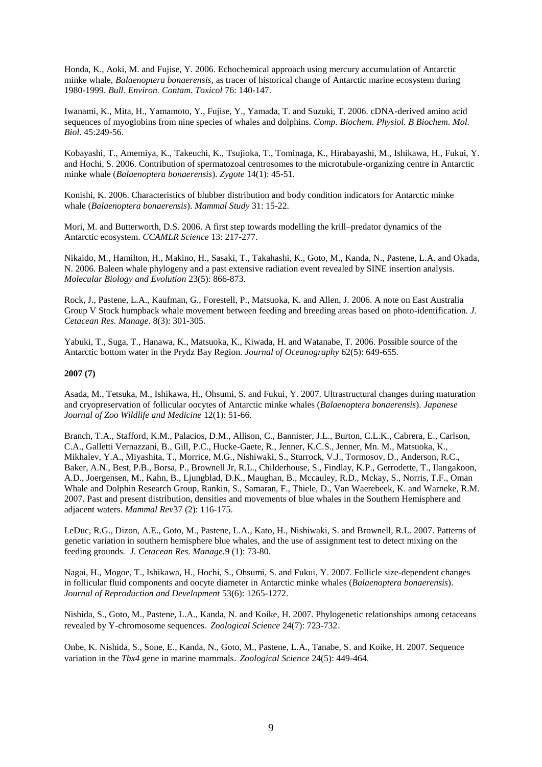Honda, K., Aoki, M. and Fujise, Y. 2006. Echochemical approach using mercury accumulation of Antarctic minke whale, *Balaenoptera bonaerensis,* as tracer of historical change of Antarctic marine ecosystem during 1980-1999. *Bull. Environ. Contam. Toxicol* 76: 140-147.

Iwanami, K., Mita, H., Yamamoto, Y., Fujise, Y., Yamada, T. and Suzuki, T. 2006. cDNA-derived amino acid sequences of myoglobins from nine species of whales and dolphins. *Comp. Biochem. Physiol. B Biochem. Mol. Biol*. 45:249-56.

Kobayashi, T., Amemiya, K., Takeuchi, K., Tsujioka, T., Tominaga, K., Hirabayashi, M., Ishikawa, H., Fukui, Y. and Hochi, S. 2006. Contribution of spermatozoal centrosomes to the microtubule-organizing centre in Antarctic minke whale (*Balaenoptera bonaerensis*). *Zygote* 14(1): 45-51.

Konishi, K. 2006. Characteristics of blubber distribution and body condition indicators for Antarctic minke whale (*Balaenoptera bonaerensis*). *Mammal Study* 31: 15-22.

Mori, M. and Butterworth, D.S. 2006. A first step towards modelling the krill–predator dynamics of the Antarctic ecosystem. *CCAMLR Science* 13: 217-277.

Nikaido, M., Hamilton, H., Makino, H., Sasaki, T., Takahashi, K., Goto, M., Kanda, N., Pastene, L.A. and Okada, N. 2006. Baleen whale phylogeny and a past extensive radiation event revealed by SINE insertion analysis. *Molecular Biology and Evolution* 23(5): 866-873.

Rock, J., Pastene, L.A., Kaufman, G., Forestell, P., Matsuoka, K. and Allen, J. 2006. A note on East Australia Group V Stock humpback whale movement between feeding and breeding areas based on photo-identification. *J. Cetacean Res. Manage*. 8(3): 301-305.

Yabuki, T., Suga, T., Hanawa, K., Matsuoka, K., Kiwada, H. and Watanabe, T. 2006. Possible source of the Antarctic bottom water in the Prydz Bay Region. *Journal of Oceanography* 62(5): 649-655.

#### **2007 (7)**

Asada, M., Tetsuka, M., Ishikawa, H., Ohsumi, S. and Fukui, Y. 2007. Ultrastructural changes during maturation and cryopreservation of follicular oocytes of Antarctic minke whales (*Balaenoptera bonaerensis*). *Japanese Journal of Zoo Wildlife and Medicine* 12(1): 51-66.

Branch, T.A., Stafford, K.M., Palacios, D.M., Allison, C., Bannister, J.L., Burton, C.L.K., Cabrera, E., Carlson, C.A., Galletti Vernazzani, B., Gill, P.C., Hucke-Gaete, R., Jenner, K.C.S., Jenner, Mn. M., Matsuoka, K., Mikhalev, Y.A., Miyashita, T., Morrice, M.G., Nishiwaki, S., Sturrock, V.J., Tormosov, D., Anderson, R.C., Baker, A.N., Best, P.B., Borsa, P., Brownell Jr, R.L., Childerhouse, S., Findlay, K.P., Gerrodette, T., Ilangakoon, A.D., Joergensen, M., Kahn, B., Ljungblad, D.K., Maughan, B., Mccauley, R.D., Mckay, S., Norris, T.F., Oman Whale and Dolphin Research Group, Rankin, S., Samaran, F., Thiele, D., Van Waerebeek, K. and Warneke, R.M. 2007. Past and present distribution, densities and movements of blue whales in the Southern Hemisphere and adjacent waters. *Mammal Rev*37 (2): 116-175.

LeDuc, R.G., Dizon, A.E., Goto, M., Pastene, L.A., Kato, H., Nishiwaki, S. and Brownell, R.L. 2007. Patterns of genetic variation in southern hemisphere blue whales, and the use of assignment test to detect mixing on the feeding grounds. *J. Cetacean Res. Manage.*9 (1): 73-80.

Nagai, H., Mogoe, T., Ishikawa, H., Hochi, S., Ohsumi, S. and Fukui, Y. 2007. Follicle size-dependent changes in follicular fluid components and oocyte diameter in Antarctic minke whales (*Balaenoptera bonaerensis*). *Journal of Reproduction and Development* 53(6): 1265-1272.

Nishida, S., Goto, M., Pastene, L.A., Kanda, N. and Koike, H. 2007. Phylogenetic relationships among cetaceans revealed by Y-chromosome sequences.*Zoological Science* 24(7): 723-732.

Onbe, K. Nishida, S., Sone, E., Kanda, N., Goto, M., Pastene, L.A., Tanabe, S. and Koike, H. 2007. Sequence variation in the *Tbx4* gene in marine mammals.*Zoological Science* 24(5): 449-464.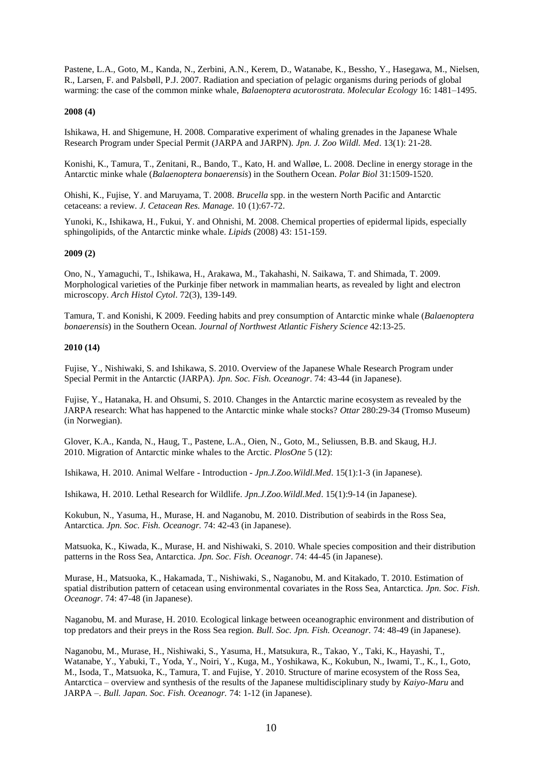Pastene, L.A., Goto, M., Kanda, N., Zerbini, A.N., Kerem, D., Watanabe, K., Bessho, Y., Hasegawa, M., Nielsen, R., Larsen, F. and Palsbøll, P.J. 2007. Radiation and speciation of pelagic organisms during periods of global warming: the case of the common minke whale, *Balaenoptera acutorostrata. Molecular Ecology* 16: 1481–1495.

## **2008 (4)**

Ishikawa, H. and Shigemune, H. 2008. Comparative experiment of whaling grenades in the Japanese Whale Research Program under Special Permit (JARPA and JARPN). *Jpn. J. Zoo Wildl. Med*. 13(1): 21-28.

Konishi, K., Tamura, T., Zenitani, R., Bando, T., Kato, H. and Walløe, L. 2008. Decline in energy storage in the Antarctic minke whale (*Balaenoptera bonaerensis*) in the Southern Ocean. *Polar Biol* 31:1509-1520.

Ohishi, K., Fujise, Y. and Maruyama, T. 2008. *Brucella* spp. in the western North Pacific and Antarctic cetaceans: a review. *J. Cetacean Res. Manage.* 10 (1):67-72.

Yunoki, K., Ishikawa, H., Fukui, Y. and Ohnishi, M. 2008. Chemical properties of epidermal lipids, especially sphingolipids, of the Antarctic minke whale. *Lipids* (2008) 43: 151-159.

## **2009 (2)**

 Ono, N., Yamaguchi, T., Ishikawa, H., Arakawa, M., Takahashi, N. Saikawa, T. and Shimada, T. 2009. Morphological varieties of the Purkinje fiber network in mammalian hearts, as revealed by light and electron microscopy. *Arch Histol Cytol*. 72(3), 139-149.

Tamura, T. and Konishi, K 2009. Feeding habits and prey consumption of Antarctic minke whale (*Balaenoptera bonaerensis*) in the Southern Ocean. *Journal of Northwest Atlantic Fishery Science* 42:13-25.

## **2010 (14)**

 Fujise, Y., Nishiwaki, S. and Ishikawa, S. 2010. Overview of the Japanese Whale Research Program under Special Permit in the Antarctic (JARPA). *Jpn. Soc. Fish. Oceanogr*. 74: 43-44 (in Japanese).

 Fujise, Y., Hatanaka, H. and Ohsumi, S. 2010. Changes in the Antarctic marine ecosystem as revealed by the JARPA research: What has happened to the Antarctic minke whale stocks? *Ottar* 280:29-34 (Tromso Museum) (in Norwegian).

Glover, K.A., Kanda, N., Haug, T., Pastene, L.A., Oien, N., Goto, M., Seliussen, B.B. and Skaug, H.J. 2010. Migration of Antarctic minke whales to the Arctic. *PlosOne* 5 (12):

Ishikawa, H. 2010. Animal Welfare - Introduction - *Jpn.J.Zoo.Wildl.Med*. 15(1):1-3 (in Japanese).

Ishikawa, H. 2010. Lethal Research for Wildlife. *Jpn.J.Zoo.Wildl.Med*. 15(1):9-14 (in Japanese).

 Kokubun, N., Yasuma, H., Murase, H. and Naganobu, M. 2010. Distribution of seabirds in the Ross Sea, Antarctica. *Jpn. Soc. Fish. Oceanogr.* 74: 42-43 (in Japanese).

 Matsuoka, K., Kiwada, K., Murase, H. and Nishiwaki, S. 2010. Whale species composition and their distribution patterns in the Ross Sea, Antarctica. *Jpn. Soc. Fish. Oceanogr*. 74: 44-45 (in Japanese).

 Murase, H., Matsuoka, K., Hakamada, T., Nishiwaki, S., Naganobu, M. and Kitakado, T. 2010. Estimation of spatial distribution pattern of cetacean using environmental covariates in the Ross Sea, Antarctica. *Jpn. Soc. Fish. Oceanogr*. 74: 47-48 (in Japanese).

 Naganobu, M. and Murase, H. 2010. Ecological linkage between oceanographic environment and distribution of top predators and their preys in the Ross Sea region. *Bull. Soc. Jpn. Fish. Oceanogr.* 74: 48-49 (in Japanese).

 Naganobu, M., Murase, H., Nishiwaki, S., Yasuma, H., Matsukura, R., Takao, Y., Taki, K., Hayashi, T., Watanabe, Y., Yabuki, T., Yoda, Y., Noiri, Y., Kuga, M., Yoshikawa, K., Kokubun, N., Iwami, T., K., I., Goto, M., Isoda, T., Matsuoka, K., Tamura, T. and Fujise, Y. 2010. Structure of marine ecosystem of the Ross Sea, Antarctica – overview and synthesis of the results of the Japanese multidisciplinary study by *Kaiyo-Maru* and JARPA –. *Bull. Japan. Soc. Fish. Oceanogr.* 74: 1-12 (in Japanese).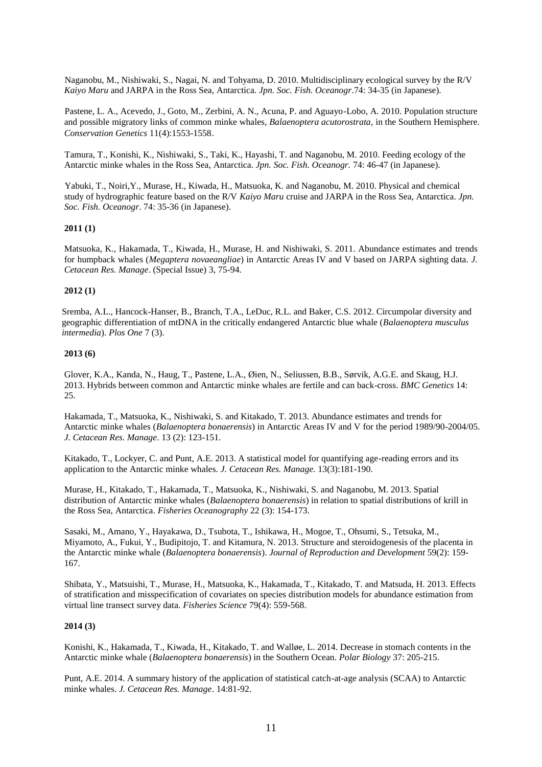Naganobu, M., Nishiwaki, S., Nagai, N. and Tohyama, D. 2010. Multidisciplinary ecological survey by the R/V *Kaiyo Maru* and JARPA in the Ross Sea, Antarctica. *Jpn. Soc. Fish. Oceanogr*.74: 34-35 (in Japanese).

 Pastene, L. A., Acevedo, J., Goto, M., Zerbini, A. N., Acuna, P. and Aguayo-Lobo, A. 2010. Population structure and possible migratory links of common minke whales, *Balaenoptera acutorostrata*, in the Southern Hemisphere. *Conservation Genetics* 11(4):1553-1558.

 Tamura, T., Konishi, K., Nishiwaki, S., Taki, K., Hayashi, T. and Naganobu, M. 2010. Feeding ecology of the Antarctic minke whales in the Ross Sea, Antarctica. *Jpn. Soc. Fish. Oceanogr.* 74: 46-47 (in Japanese).

 Yabuki, T., Noiri,Y., Murase, H., Kiwada, H., Matsuoka, K. and Naganobu, M. 2010. Physical and chemical study of hydrographic feature based on the R/V *Kaiyo Maru* cruise and JARPA in the Ross Sea, Antarctica. *Jpn. Soc. Fish. Oceanogr*. 74: 35-36 (in Japanese).

## **2011 (1)**

Matsuoka, K., Hakamada, T., Kiwada, H., Murase, H. and Nishiwaki, S. 2011. Abundance estimates and trends for humpback whales (*Megaptera novaeangliae*) in Antarctic Areas IV and V based on JARPA sighting data. *J. Cetacean Res. Manage*. (Special Issue) 3, 75-94.

## **2012 (1)**

Sremba, A.L., Hancock-Hanser, B., Branch, T.A., LeDuc, R.L. and Baker, C.S. 2012. Circumpolar diversity and geographic differentiation of mtDNA in the critically endangered Antarctic blue whale (*Balaenoptera musculus intermedia*). *Plos One* 7 (3).

## **2013 (6)**

Glover, K.A., Kanda, N., Haug, T., Pastene, L.A., Øien, N., Seliussen, B.B., Sørvik, A.G.E. and Skaug, H.J. 2013. Hybrids between common and Antarctic minke whales are fertile and can back-cross. *BMC Genetics* 14: 25.

Hakamada, T., Matsuoka, K., Nishiwaki, S. and Kitakado, T. 2013. Abundance estimates and trends for Antarctic minke whales (*Balaenoptera bonaerensis*) in Antarctic Areas IV and V for the period 1989/90-2004/05. *J. Cetacean Res. Manage*. 13 (2): 123-151.

Kitakado, T., Lockyer, C. and Punt, A.E. 2013. A statistical model for quantifying age-reading errors and its application to the Antarctic minke whales. *J. Cetacean Res. Manage.* 13(3):181-190.

Murase, H., Kitakado, T., Hakamada, T., Matsuoka, K., Nishiwaki, S. and Naganobu, M. 2013. Spatial distribution of Antarctic minke whales (*Balaenoptera bonaerensis*) in relation to spatial distributions of krill in the Ross Sea, Antarctica. *Fisheries Oceanography* 22 (3): 154-173.

Sasaki, M., Amano, Y., Hayakawa, D., Tsubota, T., Ishikawa, H., Mogoe, T., Ohsumi, S., Tetsuka, M., Miyamoto, A., Fukui, Y., Budipitojo, T. and Kitamura, N. 2013. Structure and steroidogenesis of the placenta in the Antarctic minke whale (*Balaenoptera bonaerensis*). *Journal of Reproduction and Development* 59(2): 159- 167.

Shibata, Y., Matsuishi, T., Murase, H., Matsuoka, K., Hakamada, T., Kitakado, T. and Matsuda, H. 2013. Effects of stratification and misspecification of covariates on species distribution models for abundance estimation from virtual line transect survey data. *Fisheries Science* 79(4): 559-568.

#### **2014 (3)**

Konishi, K., Hakamada, T., Kiwada, H., Kitakado, T. and Walløe, L. 2014. Decrease in stomach contents in the Antarctic minke whale (*Balaenoptera bonaerensis*) in the Southern Ocean. *Polar Biology* 37: 205-215.

Punt, A.E. 2014. A summary history of the application of statistical catch-at-age analysis (SCAA) to Antarctic minke whales. *J. Cetacean Res. Manage*. 14:81-92.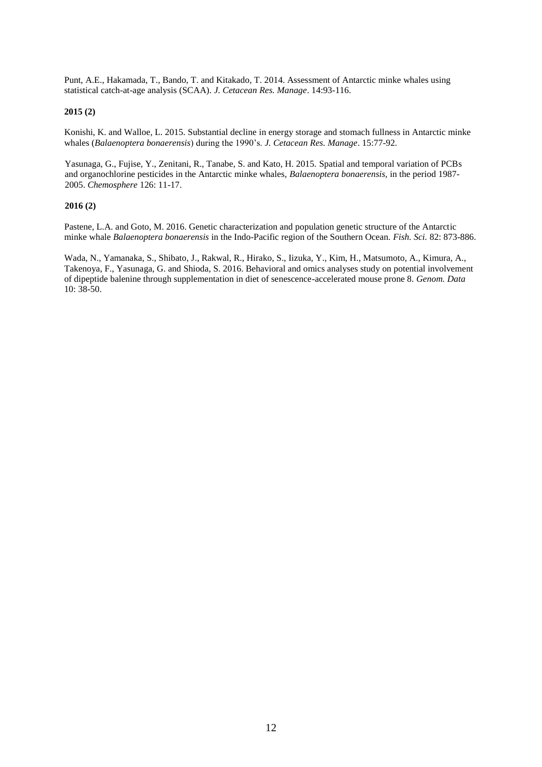Punt, A.E., Hakamada, T., Bando, T. and Kitakado, T. 2014. Assessment of Antarctic minke whales using statistical catch-at-age analysis (SCAA). *J. Cetacean Res. Manage*. 14:93-116.

#### **2015 (2)**

Konishi, K. and Walloe, L. 2015. Substantial decline in energy storage and stomach fullness in Antarctic minke whales (*Balaenoptera bonaerensis*) during the 1990's. *J. Cetacean Res. Manage*. 15:77-92.

Yasunaga, G., Fujise, Y., Zenitani, R., Tanabe, S. and Kato, H. 2015. Spatial and temporal variation of PCBs and organochlorine pesticides in the Antarctic minke whales, *Balaenoptera bonaerensis,* in the period 1987- 2005. *Chemosphere* 126: 11-17.

#### **2016 (2)**

Pastene, L.A. and Goto, M. 2016. Genetic characterization and population genetic structure of the Antarctic minke whale *Balaenoptera bonaerensis* in the Indo-Pacific region of the Southern Ocean. *Fish. Sci.* 82: 873-886.

[Wada, N.](https://www.ncbi.nlm.nih.gov/pubmed/?term=Wada%20N%5BAuthor%5D&cauthor=true&cauthor_uid=27672559)[, Yamanaka, S.](https://www.ncbi.nlm.nih.gov/pubmed/?term=Yamanaka%20S%5BAuthor%5D&cauthor=true&cauthor_uid=27672559), [Shibato, J.](https://www.ncbi.nlm.nih.gov/pubmed/?term=Shibato%20J%5BAuthor%5D&cauthor=true&cauthor_uid=27672559)[, Rakwal, R.,](https://www.ncbi.nlm.nih.gov/pubmed/?term=Rakwal%20R%5BAuthor%5D&cauthor=true&cauthor_uid=27672559) [Hirako, S.,](https://www.ncbi.nlm.nih.gov/pubmed/?term=Hirako%20S%5BAuthor%5D&cauthor=true&cauthor_uid=27672559) [Iizuka, Y.](https://www.ncbi.nlm.nih.gov/pubmed/?term=Iizuka%20Y%5BAuthor%5D&cauthor=true&cauthor_uid=27672559)[, Kim, H.](https://www.ncbi.nlm.nih.gov/pubmed/?term=Kim%20H%5BAuthor%5D&cauthor=true&cauthor_uid=27672559), [Matsumoto, A.](https://www.ncbi.nlm.nih.gov/pubmed/?term=Matsumoto%20A%5BAuthor%5D&cauthor=true&cauthor_uid=27672559), [Kimura, A.](https://www.ncbi.nlm.nih.gov/pubmed/?term=Kimura%20A%5BAuthor%5D&cauthor=true&cauthor_uid=27672559), [Takenoya, F.](https://www.ncbi.nlm.nih.gov/pubmed/?term=Takenoya%20F%5BAuthor%5D&cauthor=true&cauthor_uid=27672559), [Yasunaga, G.](https://www.ncbi.nlm.nih.gov/pubmed/?term=Yasunaga%20G%5BAuthor%5D&cauthor=true&cauthor_uid=27672559) an[d Shioda, S.](https://www.ncbi.nlm.nih.gov/pubmed/?term=Shioda%20S%5BAuthor%5D&cauthor=true&cauthor_uid=27672559) 2016. Behavioral and omics analyses study on potential involvement of dipeptide balenine through supplementation in diet of senescence-accelerated mouse prone 8. *Genom. Data*  10: 38-50.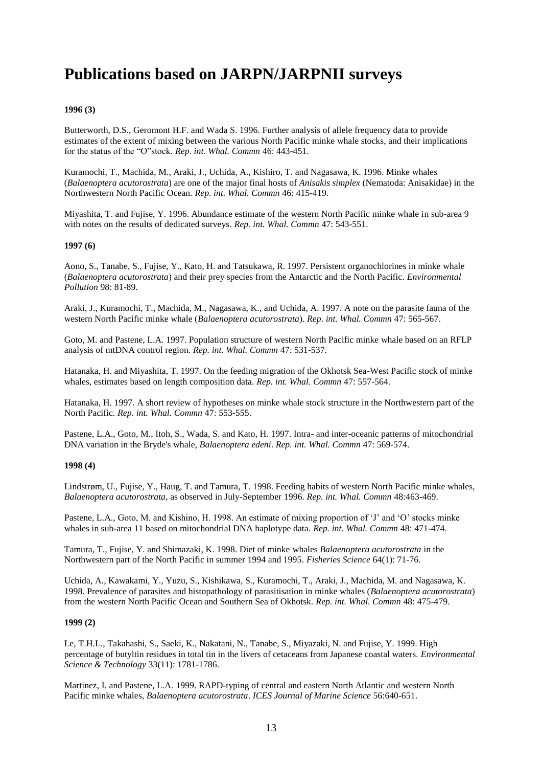## **Publications based on JARPN/JARPNII surveys**

## **1996 (3)**

Butterworth, D.S., Geromont H.F. and Wada S. 1996. Further analysis of allele frequency data to provide estimates of the extent of mixing between the various North Pacific minke whale stocks, and their implications for the status of the "O"stock. *Rep. int. Whal. Commn* 46: 443-451.

Kuramochi, T., Machida, M., Araki, J., Uchida, A., Kishiro, T. and Nagasawa, K. 1996. Minke whales (*Balaenoptera acutorostrata*) are one of the major final hosts of *Anisakis simplex* (Nematoda: Anisakidae) in the Northwestern North Pacific Ocean. *Rep. int. Whal. Commn* 46: 415-419.

Miyashita, T. and Fujise, Y. 1996. Abundance estimate of the western North Pacific minke whale in sub-area 9 with notes on the results of dedicated surveys. *Rep. int. Whal. Commn* 47: 543-551.

#### **1997 (6)**

Aono, S., Tanabe, S., Fujise, Y., Kato, H. and Tatsukawa, R. 1997. Persistent organochlorines in minke whale (*Balaenoptera acutorostrata*) and their prey species from the Antarctic and the North Pacific. *Environmental Pollution* 98: 81-89.

Araki, J., Kuramochi, T., Machida, M., Nagasawa, K., and Uchida, A. 1997. A note on the parasite fauna of the western North Pacific minke whale (*Balaenoptera acutorostrata*). *Rep. int. Whal. Commn* 47: 565-567.

Goto, M. and Pastene, L.A. 1997. Population structure of western North Pacific minke whale based on an RFLP analysis of mtDNA control region. *Rep. int. Whal. Commn* 47: 531-537.

Hatanaka, H. and Miyashita, T. 1997. On the feeding migration of the Okhotsk Sea-West Pacific stock of minke whales, estimates based on length composition data. *Rep. int. Whal. Commn* 47: 557-564.

Hatanaka, H. 1997. A short review of hypotheses on minke whale stock structure in the Northwestern part of the North Pacific. *Rep. int. Whal. Commn* 47: 553-555.

Pastene, L.A., Goto, M., Itoh, S., Wada, S. and Kato, H. 1997. Intra- and inter-oceanic patterns of mitochondrial DNA variation in the Bryde's whale, *Balaenoptera edeni*. *Rep. int. Whal. Commn* 47: 569-574.

#### **1998 (4)**

Lindstrøm, U., Fujise, Y., Haug, T. and Tamura, T. 1998. Feeding habits of western North Pacific minke whales, *Balaenoptera acutorostrata*, as observed in July-September 1996. *Rep. int. Whal. Commn* 48:463-469.

Pastene, L.A., Goto, M. and Kishino, H. 1998. An estimate of mixing proportion of 'J' and 'O' stocks minke whales in sub-area 11 based on mitochondrial DNA haplotype data. *Rep. int. Whal. Commn* 48: 471-474.

Tamura, T., Fujise, Y. and Shimazaki, K. 1998. Diet of minke whales *Balaenoptera acutorostrata* in the Northwestern part of the North Pacific in summer 1994 and 1995. *Fisheries Science* 64(1): 71-76.

Uchida, A., Kawakami, Y., Yuzu, S., Kishikawa, S., Kuramochi, T., Araki, J., Machida, M. and Nagasawa, K. 1998. Prevalence of parasites and histopathology of parasitisation in minke whales (*Balaenoptera acutorostrata*) from the western North Pacific Ocean and Southern Sea of Okhotsk. *Rep. int. Whal. Commn* 48: 475-479.

## **1999 (2)**

Le, T.H.L., Takahashi, S., Saeki, K., Nakatani, N., Tanabe, S., Miyazaki, N. and Fujise, Y. 1999. High percentage of butyltin residues in total tin in the livers of cetaceans from Japanese coastal waters. *Environmental Science & Technology* 33(11): 1781-1786.

Martinez, I. and Pastene, L.A. 1999. RAPD-typing of central and eastern North Atlantic and western North Pacific minke whales, *Balaenoptera acutorostrata*. *ICES Journal of Marine Science* 56:640-651.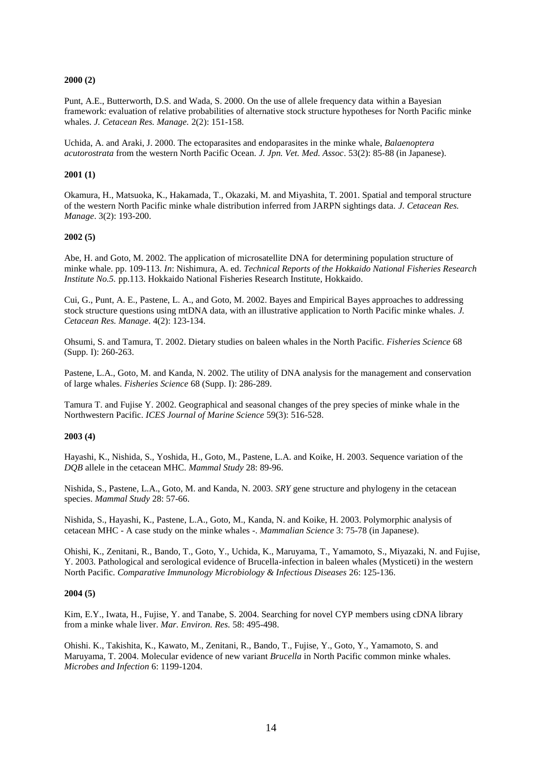## **2000 (2)**

Punt, A.E., Butterworth, D.S. and Wada, S. 2000. On the use of allele frequency data within a Bayesian framework: evaluation of relative probabilities of alternative stock structure hypotheses for North Pacific minke whales. *J. Cetacean Res. Manage.* 2(2): 151-158.

Uchida, A. and Araki, J. 2000. The ectoparasites and endoparasites in the minke whale, *Balaenoptera acutorostrata* from the western North Pacific Ocean. *J. Jpn. Vet. Med. Assoc*. 53(2): 85-88 (in Japanese).

#### **2001 (1)**

Okamura, H., Matsuoka, K., Hakamada, T., Okazaki, M. and Miyashita, T. 2001. Spatial and temporal structure of the western North Pacific minke whale distribution inferred from JARPN sightings data. *J. Cetacean Res. Manage*. 3(2): 193-200.

## **2002 (5)**

Abe, H. and Goto, M. 2002. The application of microsatellite DNA for determining population structure of minke whale. pp. 109-113. *In*: Nishimura, A. ed. *Technical Reports of the Hokkaido National Fisheries Research Institute No.5.* pp.113. Hokkaido National Fisheries Research Institute, Hokkaido.

Cui, G., Punt, A. E., Pastene, L. A., and Goto, M. 2002. Bayes and Empirical Bayes approaches to addressing stock structure questions using mtDNA data, with an illustrative application to North Pacific minke whales. *J. Cetacean Res. Manage*. 4(2): 123-134.

Ohsumi, S. and Tamura, T. 2002. Dietary studies on baleen whales in the North Pacific. *Fisheries Science* 68 (Supp. I): 260-263.

Pastene, L.A., Goto, M. and Kanda, N. 2002. The utility of DNA analysis for the management and conservation of large whales. *Fisheries Science* 68 (Supp. I): 286-289.

Tamura T. and Fujise Y. 2002. Geographical and seasonal changes of the prey species of minke whale in the Northwestern Pacific. *ICES Journal of Marine Science* 59(3): 516-528.

#### **2003 (4)**

Hayashi, K., Nishida, S., Yoshida, H., Goto, M., Pastene, L.A. and Koike, H. 2003. Sequence variation of the *DQB* allele in the cetacean MHC. *Mammal Study* 28: 89-96.

Nishida, S., Pastene, L.A., Goto, M. and Kanda, N. 2003. *SRY* gene structure and phylogeny in the cetacean species. *Mammal Study* 28: 57-66.

Nishida, S., Hayashi, K., Pastene, L.A., Goto, M., Kanda, N. and Koike, H. 2003. Polymorphic analysis of cetacean MHC - A case study on the minke whales -. *Mammalian Science* 3: 75-78 (in Japanese).

Ohishi, K., Zenitani, R., Bando, T., Goto, Y., Uchida, K., Maruyama, T., Yamamoto, S., Miyazaki, N. and Fujise, Y. 2003. Pathological and serological evidence of Brucella-infection in baleen whales (Mysticeti) in the western North Pacific. *Comparative Immunology Microbiology & Infectious Diseases* 26: 125-136.

#### **2004 (5)**

Kim, E.Y., Iwata, H., Fujise, Y. and Tanabe, S. 2004. Searching for novel CYP members using cDNA library from a minke whale liver. *Mar. Environ. Res.* 58: 495-498.

Ohishi. K., Takishita, K., Kawato, M., Zenitani, R., Bando, T., Fujise, Y., Goto, Y., Yamamoto, S. and Maruyama, T. 2004. Molecular evidence of new variant *Brucella* in North Pacific common minke whales. *Microbes and Infection* 6: 1199-1204.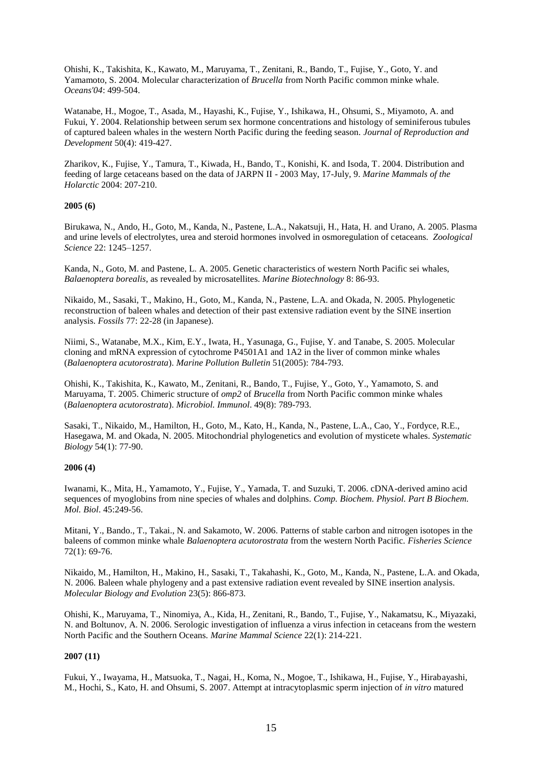Ohishi, K., Takishita, K., Kawato, M., Maruyama, T., Zenitani, R., Bando, T., Fujise, Y., Goto, Y. and Yamamoto, S. 2004. Molecular characterization of *Brucella* from North Pacific common minke whale. *Oceans'04*: 499-504.

Watanabe, H., Mogoe, T., Asada, M., Hayashi, K., Fujise, Y., Ishikawa, H., Ohsumi, S., Miyamoto, A. and Fukui, Y. 2004. Relationship between serum sex hormone concentrations and histology of seminiferous tubules of captured baleen whales in the western North Pacific during the feeding season. *Journal of Reproduction and Development* 50(4): 419-427.

Zharikov, K., Fujise, Y., Tamura, T., Kiwada, H., Bando, T., Konishi, K. and Isoda, T. 2004. Distribution and feeding of large cetaceans based on the data of JARPN II - 2003 May, 17-July, 9. *Marine Mammals of the Holarctic* 2004: 207-210.

## **2005 (6)**

Birukawa, N., Ando, H., Goto, M., Kanda, N., Pastene, L.A., Nakatsuji, H., Hata, H. and Urano, A. 2005. Plasma and urine levels of electrolytes, urea and steroid hormones involved in osmoregulation of cetaceans. *Zoological Science* 22: 1245–1257.

Kanda, N., Goto, M. and Pastene, L. A. 2005. Genetic characteristics of western North Pacific sei whales, *Balaenoptera borealis*, as revealed by microsatellites. *Marine Biotechnology* 8: 86-93.

Nikaido, M., Sasaki, T., Makino, H., Goto, M., Kanda, N., Pastene, L.A. and Okada, N. 2005. Phylogenetic reconstruction of baleen whales and detection of their past extensive radiation event by the SINE insertion analysis. *Fossils* 77: 22-28 (in Japanese).

Niimi, S., Watanabe, M.X., Kim, E.Y., Iwata, H., Yasunaga, G., Fujise, Y. and Tanabe, S. 2005. Molecular cloning and mRNA expression of cytochrome P4501A1 and 1A2 in the liver of common minke whales (*Balaenoptera acutorostrata*). *Marine Pollution Bulletin* 51(2005): 784-793.

Ohishi, K., Takishita, K., Kawato, M., Zenitani, R., Bando, T., Fujise, Y., Goto, Y., Yamamoto, S. and Maruyama, T. 2005. Chimeric structure of *omp2* of *Brucella* from North Pacific common minke whales (*Balaenoptera acutorostrata*). *Microbiol. Immunol*. 49(8): 789-793.

Sasaki, T., Nikaido, M., Hamilton, H., Goto, M., Kato, H., Kanda, N., Pastene, L.A., Cao, Y., Fordyce, R.E., Hasegawa, M. and Okada, N. 2005. Mitochondrial phylogenetics and evolution of mysticete whales. *Systematic Biology* 54(1): 77-90.

#### **2006 (4)**

Iwanami, K., Mita, H., Yamamoto, Y., Fujise, Y., Yamada, T. and Suzuki, T. 2006. cDNA-derived amino acid sequences of myoglobins from nine species of whales and dolphins. *Comp. Biochem. Physiol. Part B Biochem. Mol. Biol*. 45:249-56.

Mitani, Y., Bando., T., Takai., N. and Sakamoto, W. 2006. Patterns of stable carbon and nitrogen isotopes in the baleens of common minke whale *Balaenoptera acutorostrata* from the western North Pacific. *Fisheries Science* 72(1): 69-76.

Nikaido, M., Hamilton, H., Makino, H., Sasaki, T., Takahashi, K., Goto, M., Kanda, N., Pastene, L.A. and Okada, N. 2006. Baleen whale phylogeny and a past extensive radiation event revealed by SINE insertion analysis. *Molecular Biology and Evolution* 23(5): 866-873.

Ohishi, K., Maruyama, T., Ninomiya, A., Kida, H., Zenitani, R., Bando, T., Fujise, Y., Nakamatsu, K., Miyazaki, N. and Boltunov, A. N. 2006. Serologic investigation of influenza a virus infection in cetaceans from the western North Pacific and the Southern Oceans. *Marine Mammal Science* 22(1): 214-221.

## **2007 (11)**

Fukui, Y., Iwayama, H., Matsuoka, T., Nagai, H., Koma, N., Mogoe, T., Ishikawa, H., Fujise, Y., Hirabayashi, M., Hochi, S., Kato, H. and Ohsumi, S. 2007. Attempt at intracytoplasmic sperm injection of *in vitro* matured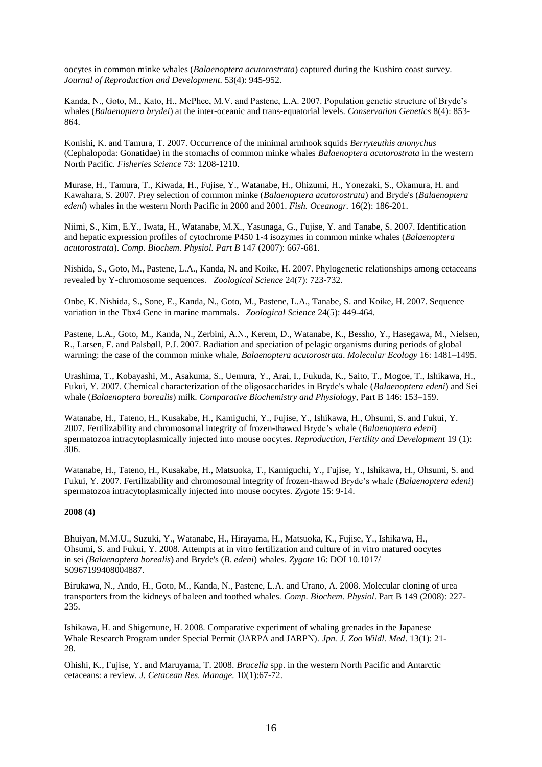oocytes in common minke whales (*Balaenoptera acutorostrata*) captured during the Kushiro coast survey. *Journal of Reproduction and Development*. 53(4): 945-952.

Kanda, N., Goto, M., Kato, H., McPhee, M.V. and Pastene, L.A. 2007. Population genetic structure of Bryde's whales (*Balaenoptera brydei*) at the inter-oceanic and trans-equatorial levels. *Conservation Genetics* 8(4): 853- 864.

Konishi, K. and Tamura, T. 2007. Occurrence of the minimal armhook squids *Berryteuthis anonychus* (Cephalopoda: Gonatidae) in the stomachs of common minke whales *Balaenoptera acutorostrata* in the western North Pacific. *Fisheries Science* 73: 1208-1210.

Murase, H., Tamura, T., Kiwada, H., Fujise, Y., Watanabe, H., Ohizumi, H., Yonezaki, S., Okamura, H. and Kawahara, S. 2007. Prey selection of common minke (*Balaenoptera acutorostrata*) and Bryde's (*Balaenoptera edeni*) whales in the western North Pacific in 2000 and 2001. *Fish. Oceanogr.* 16(2): 186-201.

Niimi, S., Kim, E.Y., Iwata, H., Watanabe, M.X., Yasunaga, G., Fujise, Y. and Tanabe, S. 2007. Identification and hepatic expression profiles of cytochrome P450 1-4 isozymes in common minke whales (*Balaenoptera acutorostrata*). *Comp. Biochem. Physiol. Part B* 147 (2007): 667-681.

Nishida, S., Goto, M., Pastene, L.A., Kanda, N. and Koike, H. 2007. Phylogenetic relationships among cetaceans revealed by Y-chromosome sequences.*Zoological Science* 24(7): 723-732.

Onbe, K. Nishida, S., Sone, E., Kanda, N., Goto, M., Pastene, L.A., Tanabe, S. and Koike, H. 2007. Sequence variation in the Tbx4 Gene in marine mammals.*Zoological Science* 24(5): 449-464.

Pastene, L.A., Goto, M., Kanda, N., Zerbini, A.N., Kerem, D., Watanabe, K., Bessho, Y., Hasegawa, M., Nielsen, R., Larsen, F. and Palsbøll, P.J. 2007. Radiation and speciation of pelagic organisms during periods of global warming: the case of the common minke whale, *Balaenoptera acutorostrata*. *Molecular Ecology* 16: 1481–1495.

Urashima, T., Kobayashi, M., Asakuma, S., Uemura, Y., Arai, I., Fukuda, K., Saito, T., Mogoe, T., Ishikawa, H., Fukui, Y. 2007. Chemical characterization of the oligosaccharides in Bryde's whale (*Balaenoptera edeni*) and Sei whale (*Balaenoptera borealis*) milk. *Comparative Biochemistry and Physiology*, Part B 146: 153–159.

Watanabe, H., Tateno, H., Kusakabe, H., Kamiguchi, Y., Fujise, Y., Ishikawa, H., Ohsumi, S. and Fukui, Y. 2007. Fertilizability and chromosomal integrity of frozen-thawed Bryde's whale (*Balaenoptera edeni*) spermatozoa intracytoplasmically injected into mouse oocytes. *Reproduction, Fertility and Development* 19 (1): 306.

Watanabe, H., Tateno, H., Kusakabe, H., Matsuoka, T., Kamiguchi, Y., Fujise, Y., Ishikawa, H., Ohsumi, S. and Fukui, Y. 2007. Fertilizability and chromosomal integrity of frozen-thawed Bryde's whale (*Balaenoptera edeni*) spermatozoa intracytoplasmically injected into mouse oocytes. *Zygote* 15: 9-14.

## **2008 (4)**

Bhuiyan, M.M.U., Suzuki, Y., Watanabe, H., Hirayama, H., Matsuoka, K., Fujise, Y., Ishikawa, H., Ohsumi, S. and Fukui, Y. 2008. Attempts at in vitro fertilization and culture of in vitro matured oocytes in sei *(Balaenoptera borealis*) and Bryde's (*B. edeni*) whales. *Zygote* 16: DOI 10.1017/ S0967199408004887.

Birukawa, N., Ando, H., Goto, M., Kanda, N., Pastene, L.A. and Urano, A. 2008. Molecular cloning of urea transporters from the kidneys of baleen and toothed whales. *Comp. Biochem. Physiol*. Part B 149 (2008): 227- 235.

Ishikawa, H. and Shigemune, H. 2008. Comparative experiment of whaling grenades in the Japanese Whale Research Program under Special Permit (JARPA and JARPN). *Jpn. J. Zoo Wildl. Med*. 13(1): 21- 28.

Ohishi, K., Fujise, Y. and Maruyama, T. 2008. *Brucella* spp. in the western North Pacific and Antarctic cetaceans: a review. *J. Cetacean Res. Manage.* 10(1):67-72.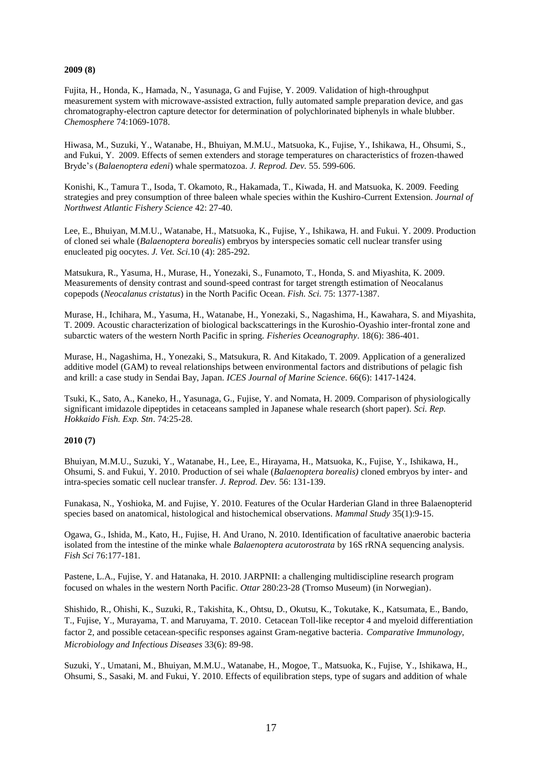## **2009 (8)**

Fujita, H., Honda, K., Hamada, N., Yasunaga, G and Fujise, Y. 2009. Validation of high-throughput measurement system with microwave-assisted extraction, fully automated sample preparation device, and gas chromatography-electron capture detector for determination of polychlorinated biphenyls in whale blubber. *Chemosphere* 74:1069-1078.

Hiwasa, M., Suzuki, Y., Watanabe, H., Bhuiyan, M.M.U., Matsuoka, K., Fujise, Y., Ishikawa, H., Ohsumi, S., and Fukui, Y. 2009. Effects of semen extenders and storage temperatures on characteristics of frozen-thawed Bryde's (*Balaenoptera edeni*) whale spermatozoa. *J. Reprod. Dev.* 55. 599-606.

Konishi, K., Tamura T., Isoda, T. Okamoto, R., Hakamada, T., Kiwada, H. and Matsuoka, K. 2009. Feeding strategies and prey consumption of three baleen whale species within the Kushiro-Current Extension. *Journal of Northwest Atlantic Fishery Science* 42: 27-40.

Lee, E., Bhuiyan, M.M.U., Watanabe, H., Matsuoka, K., Fujise, Y., Ishikawa, H. and Fukui. Y. 2009. Production of cloned sei whale (*Balaenoptera borealis*) embryos by interspecies somatic cell nuclear transfer using enucleated pig oocytes. *J. Vet. Sci.*10 (4): 285-292.

Matsukura, R., Yasuma, H., Murase, H., Yonezaki, S., Funamoto, T., Honda, S. and Miyashita, K. 2009. Measurements of density contrast and sound-speed contrast for target strength estimation of Neocalanus copepods (*Neocalanus cristatus*) in the North Pacific Ocean. *Fish. Sci.* 75: 1377-1387.

Murase, H., Ichihara, M., Yasuma, H., Watanabe, H., Yonezaki, S., Nagashima, H., Kawahara, S. and Miyashita, T. 2009. Acoustic characterization of biological backscatterings in the Kuroshio-Oyashio inter-frontal zone and subarctic waters of the western North Pacific in spring. *Fisheries Oceanography*. 18(6): 386-401.

Murase, H., Nagashima, H., Yonezaki, S., Matsukura, R. And Kitakado, T. 2009. Application of a generalized additive model (GAM) to reveal relationships between environmental factors and distributions of pelagic fish and krill: a case study in Sendai Bay, Japan. *ICES Journal of Marine Science*. 66(6): 1417-1424.

Tsuki, K., Sato, A., Kaneko, H., Yasunaga, G., Fujise, Y. and Nomata, H. 2009. Comparison of physiologically significant imidazole dipeptides in cetaceans sampled in Japanese whale research (short paper). *Sci. Rep. Hokkaido Fish. Exp. Stn*. 74:25-28.

## **2010 (7)**

Bhuiyan, M.M.U., Suzuki, Y., Watanabe, H., Lee, E., Hirayama, H., Matsuoka, K., Fujise, Y., Ishikawa, H., Ohsumi, S. and Fukui, Y. 2010. Production of sei whale (*Balaenoptera borealis)* cloned embryos by inter- and intra-species somatic cell nuclear transfer. *J. Reprod. Dev.* 56: 131-139.

Funakasa, N., Yoshioka, M. and Fujise, Y. 2010. Features of the Ocular Harderian Gland in three Balaenopterid species based on anatomical, histological and histochemical observations. *Mammal Study* 35(1):9-15.

Ogawa, G., Ishida, M., Kato, H., Fujise, H. And Urano, N. 2010. Identification of facultative anaerobic bacteria isolated from the intestine of the minke whale *Balaenoptera acutorostrata* by 16S rRNA sequencing analysis. *Fish Sci* 76:177-181.

Pastene, L.A., Fujise, Y. and Hatanaka, H. 2010. JARPNII: a challenging multidiscipline research program focused on whales in the western North Pacific. *Ottar* 280:23-28 (Tromso Museum) (in Norwegian).

Shishido, R., Ohishi, K., Suzuki, R., Takishita, K., Ohtsu, D., Okutsu, K., Tokutake, K., Katsumata, E., Bando, T., Fujise, Y., Murayama, T. and Maruyama, T. 2010.Cetacean Toll-like receptor 4 and myeloid differentiation factor 2, and possible cetacean-specific responses against Gram-negative bacteria.*Comparative Immunology, Microbiology and Infectious Diseases* 33(6): 89-98.

Suzuki, Y., Umatani, M., Bhuiyan, M.M.U., Watanabe, H., Mogoe, T., Matsuoka, K., Fujise, Y., Ishikawa, H., Ohsumi, S., Sasaki, M. and Fukui, Y. 2010. Effects of equilibration steps, type of sugars and addition of whale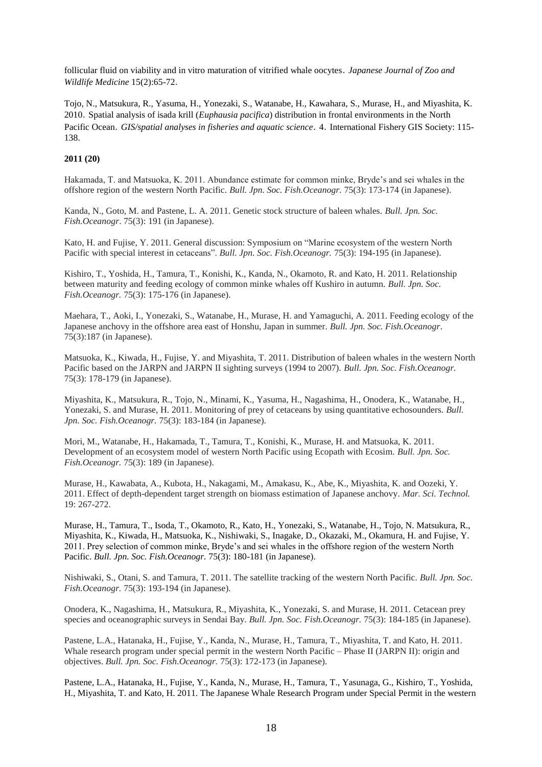follicular fluid on viability and in vitro maturation of vitrified whale oocytes.*Japanese Journal of Zoo and Wildlife Medicine* 15(2):65-72.

Tojo, N., Matsukura, R., Yasuma, H., Yonezaki, S., Watanabe, H., Kawahara, S., Murase, H., and Miyashita, K. 2010.Spatial analysis of isada krill (*Euphausia pacifica*) distribution in frontal environments in the North Pacific Ocean. *GIS/spatial analyses in fisheries and aquatic science*. 4. International Fishery GIS Society: 115-138.

## **2011 (20)**

Hakamada, T. and Matsuoka, K. 2011. Abundance estimate for common minke, Bryde's and sei whales in the offshore region of the western North Pacific. *Bull. Jpn. Soc. Fish.Oceanogr.* 75(3): 173-174 (in Japanese).

Kanda, N., Goto, M. and Pastene, L. A. 2011. Genetic stock structure of baleen whales. *Bull. Jpn. Soc. Fish.Oceanogr*. 75(3): 191 (in Japanese).

Kato, H. and Fujise, Y. 2011. General discussion: Symposium on "Marine ecosystem of the western North Pacific with special interest in cetaceans". *Bull. Jpn. Soc. Fish.Oceanogr.* 75(3): 194-195 (in Japanese).

Kishiro, T., Yoshida, H., Tamura, T., Konishi, K., Kanda, N., Okamoto, R. and Kato, H. 2011. Relationship between maturity and feeding ecology of common minke whales off Kushiro in autumn. *Bull. Jpn. Soc. Fish.Oceanogr.* 75(3): 175-176 (in Japanese).

Maehara, T., Aoki, I., Yonezaki, S., Watanabe, H., Murase, H. and Yamaguchi, A. 2011. Feeding ecology of the Japanese anchovy in the offshore area east of Honshu, Japan in summer. *Bull. Jpn. Soc. Fish.Oceanogr*. 75(3):187 (in Japanese).

Matsuoka, K., Kiwada, H., Fujise, Y. and Miyashita, T. 2011. Distribution of baleen whales in the western North Pacific based on the JARPN and JARPN II sighting surveys (1994 to 2007). *Bull. Jpn. Soc. Fish.Oceanogr.* 75(3): 178-179 (in Japanese).

Miyashita, K., Matsukura, R., Tojo, N., Minami, K., Yasuma, H., Nagashima, H., Onodera, K., Watanabe, H., Yonezaki, S. and Murase, H. 2011. Monitoring of prey of cetaceans by using quantitative echosounders. *Bull. Jpn. Soc. Fish.Oceanogr.* 75(3): 183-184 (in Japanese).

Mori, M., Watanabe, H., Hakamada, T., Tamura, T., Konishi, K., Murase, H. and Matsuoka, K. 2011. Development of an ecosystem model of western North Pacific using Ecopath with Ecosim. *Bull. Jpn. Soc. Fish.Oceanogr.* 75(3): 189 (in Japanese).

Murase, H., Kawabata, A., Kubota, H., Nakagami, M., Amakasu, K., Abe, K., Miyashita, K. and Oozeki, Y. 2011. Effect of depth-dependent target strength on biomass estimation of Japanese anchovy. *Mar. Sci. Technol.* 19: 267-272.

Murase, H., Tamura, T., Isoda, T., Okamoto, R., Kato, H., Yonezaki, S., Watanabe, H., Tojo, N. Matsukura, R., Miyashita, K., Kiwada, H., Matsuoka, K., Nishiwaki, S., Inagake, D., Okazaki, M., Okamura, H. and Fujise, Y. 2011. Prey selection of common minke, Bryde's and sei whales in the offshore region of the western North Pacific. *Bull. Jpn. Soc. Fish.Oceanogr.* 75(3): 180-181 (in Japanese).

Nishiwaki, S., Otani, S. and Tamura, T. 2011. The satellite tracking of the western North Pacific. *Bull. Jpn. Soc. Fish.Oceanogr.* 75(3): 193-194 (in Japanese).

Onodera, K., Nagashima, H., Matsukura, R., Miyashita, K., Yonezaki, S. and Murase, H. 2011. Cetacean prey species and oceanographic surveys in Sendai Bay. *Bull. Jpn. Soc. Fish.Oceanogr.* 75(3): 184-185 (in Japanese).

Pastene, L.A., Hatanaka, H., Fujise, Y., Kanda, N., Murase, H., Tamura, T., Miyashita, T. and Kato, H. 2011. Whale research program under special permit in the western North Pacific – Phase II (JARPN II): origin and objectives. *Bull. Jpn. Soc. Fish.Oceanogr.* 75(3): 172-173 (in Japanese).

Pastene, L.A., Hatanaka, H., Fujise, Y., Kanda, N., Murase, H., Tamura, T., Yasunaga, G., Kishiro, T., Yoshida, H., Miyashita, T. and Kato, H. 2011. The Japanese Whale Research Program under Special Permit in the western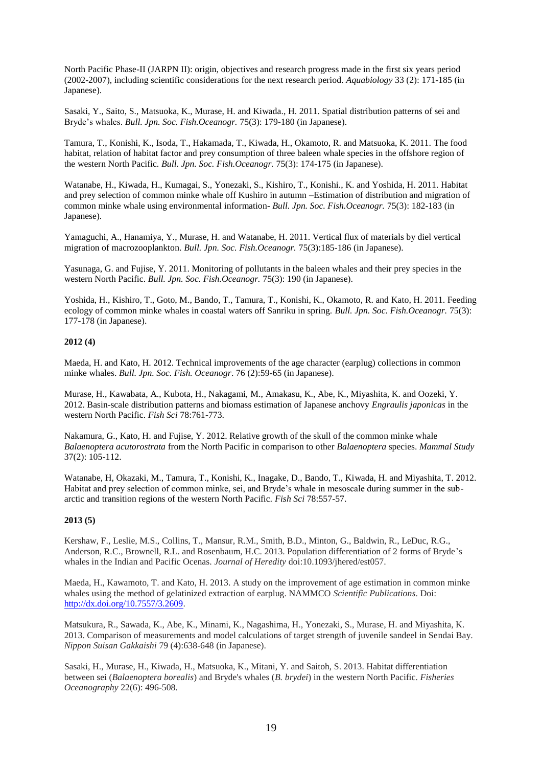North Pacific Phase-II (JARPN II): origin, objectives and research progress made in the first six years period (2002-2007), including scientific considerations for the next research period. *Aquabiology* 33 (2): 171-185 (in Japanese).

Sasaki, Y., Saito, S., Matsuoka, K., Murase, H. and Kiwada., H. 2011. Spatial distribution patterns of sei and Bryde's whales. *Bull. Jpn. Soc. Fish.Oceanogr.* 75(3): 179-180 (in Japanese).

Tamura, T., Konishi, K., Isoda, T., Hakamada, T., Kiwada, H., Okamoto, R. and Matsuoka, K. 2011. The food habitat, relation of habitat factor and prey consumption of three baleen whale species in the offshore region of the western North Pacific. *Bull. Jpn. Soc. Fish.Oceanogr.* 75(3): 174-175 (in Japanese).

Watanabe, H., Kiwada, H., Kumagai, S., Yonezaki, S., Kishiro, T., Konishi., K. and Yoshida, H. 2011. Habitat and prey selection of common minke whale off Kushiro in autumn –Estimation of distribution and migration of common minke whale using environmental information- *Bull. Jpn. Soc. Fish.Oceanogr.* 75(3): 182-183 (in Japanese).

Yamaguchi, A., Hanamiya, Y., Murase, H. and Watanabe, H. 2011. Vertical flux of materials by diel vertical migration of macrozooplankton. *Bull. Jpn. Soc. Fish.Oceanogr.* 75(3):185-186 (in Japanese).

Yasunaga, G. and Fujise, Y. 2011. Monitoring of pollutants in the baleen whales and their prey species in the western North Pacific. *Bull. Jpn. Soc. Fish.Oceanogr.* 75(3): 190 (in Japanese).

Yoshida, H., Kishiro, T., Goto, M., Bando, T., Tamura, T., Konishi, K., Okamoto, R. and Kato, H. 2011. Feeding ecology of common minke whales in coastal waters off Sanriku in spring. *Bull. Jpn. Soc. Fish.Oceanogr.* 75(3): 177-178 (in Japanese).

## **2012 (4)**

Maeda, H. and Kato, H. 2012. Technical improvements of the age character (earplug) collections in common minke whales. *Bull. Jpn. Soc. Fish. Oceanogr*. 76 (2):59-65 (in Japanese).

Murase, H., Kawabata, A., Kubota, H., Nakagami, M., Amakasu, K., Abe, K., Miyashita, K. and Oozeki, Y. 2012. Basin-scale distribution patterns and biomass estimation of Japanese anchovy *Engraulis japonicas* in the western North Pacific. *Fish Sci* 78:761-773.

Nakamura, G., Kato, H. and Fujise, Y. 2012. Relative growth of the skull of the common minke whale *Balaenoptera acutorostrata* from the North Pacific in comparison to other *Balaenoptera* species. *Mammal Study* 37(2): 105-112.

Watanabe, H, Okazaki, M., Tamura, T., Konishi, K., Inagake, D., Bando, T., Kiwada, H. and Miyashita, T. 2012. Habitat and prey selection of common minke, sei, and Bryde's whale in mesoscale during summer in the subarctic and transition regions of the western North Pacific*. Fish Sci* 78:557-57.

## **2013 (5)**

Kershaw, F., Leslie, M.S., Collins, T., Mansur, R.M., Smith, B.D., Minton, G., Baldwin, R., LeDuc, R.G., Anderson, R.C., Brownell, R.L. and Rosenbaum, H.C. 2013. Population differentiation of 2 forms of Bryde's whales in the Indian and Pacific Ocenas. *Journal of Heredity* doi:10.1093/jhered/est057.

Maeda, H., Kawamoto, T. and Kato, H. 2013. A study on the improvement of age estimation in common minke whales using the method of gelatinized extraction of earplug. NAMMCO *Scientific Publications*. Doi: [http://dx.doi.org/10.7557/3.2609.](http://dx.doi.org/10.7557/3.2609)

Matsukura, R., Sawada, K., Abe, K., Minami, K., Nagashima, H., Yonezaki, S., Murase, H. and Miyashita, K. 2013. Comparison of measurements and model calculations of target strength of juvenile sandeel in Sendai Bay. *Nippon Suisan Gakkaishi* 79 (4):638-648 (in Japanese).

Sasaki, H., Murase, H., Kiwada, H., Matsuoka, K., Mitani, Y. and Saitoh, S. 2013. Habitat differentiation between sei (*Balaenoptera borealis*) and Bryde's whales (*B. brydei*) in the western North Pacific. *Fisheries Oceanography* 22(6): 496-508.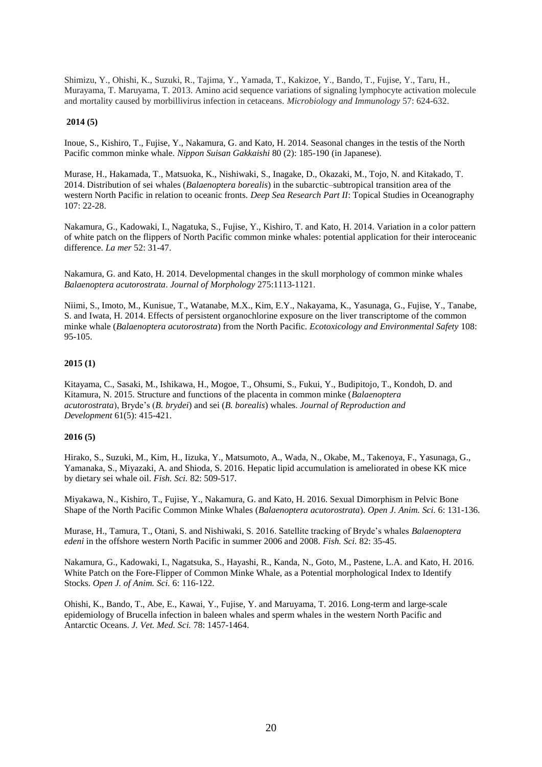Shimizu, Y., Ohishi, K., Suzuki, R., Tajima, Y., Yamada, T., Kakizoe, Y., Bando, T., Fujise, Y., Taru, H., Murayama, T. Maruyama, T. 2013. Amino acid sequence variations of signaling lymphocyte activation molecule and mortality caused by morbillivirus infection in cetaceans. *Microbiology and Immunology* 57: 624-632.

## **2014 (5)**

Inoue, S., Kishiro, T., Fujise, Y., Nakamura, G. and Kato, H. 2014. Seasonal changes in the testis of the North Pacific common minke whale. *Nippon Suisan Gakkaishi* 80 (2): 185-190 (in Japanese).

Murase, H., Hakamada, T., Matsuoka, K., Nishiwaki, S., Inagake, D., Okazaki, M., Tojo, N. and Kitakado, T. 2014. Distribution of sei whales (*Balaenoptera borealis*) in the subarctic–subtropical transition area of the western North Pacific in relation to oceanic fronts. *Deep Sea Research Part II*: Topical Studies in Oceanography 107: 22-28.

Nakamura, G., Kadowaki, I., Nagatuka, S., Fujise, Y., Kishiro, T. and Kato, H. 2014. Variation in a color pattern of white patch on the flippers of North Pacific common minke whales: potential application for their interoceanic difference. *La mer* 52: 31-47.

Nakamura, G. and Kato, H. 2014. Developmental changes in the skull morphology of common minke whales *Balaenoptera acutorostrata*. *Journal of Morphology* 275:1113-1121.

Niimi, S., Imoto, M., Kunisue, T., Watanabe, M.X., Kim, E.Y., Nakayama, K., Yasunaga, G., Fujise, Y., Tanabe, S. and Iwata, H. 2014. Effects of persistent organochlorine exposure on the liver transcriptome of the common minke whale (*Balaenoptera acutorostrata*) from the North Pacific. *Ecotoxicology and Environmental Safety* 108: 95-105.

## **2015 (1)**

Kitayama, C., Sasaki, M., Ishikawa, H., Mogoe, T., Ohsumi, S., Fukui, Y., Budipitojo, T., Kondoh, D. and Kitamura, N. 2015. Structure and functions of the placenta in common minke (*Balaenoptera acutorostrata*), Bryde's (*B. brydei*) and sei (*B. borealis*) whales. *Journal of Reproduction and Development* 61(5): 415-421.

#### **2016 (5)**

Hirako, S., Suzuki, M., Kim, H., Iizuka, Y., Matsumoto, A., Wada, N., Okabe, M., Takenoya, F., Yasunaga, G., Yamanaka, S., Miyazaki, A. and Shioda, S. 2016. Hepatic lipid accumulation is ameliorated in obese KK mice by dietary sei whale oil. *Fish. Sci.* 82: 509-517.

Miyakawa, N., Kishiro, T., Fujise, Y., Nakamura, G. and Kato, H. 2016. Sexual Dimorphism in Pelvic Bone Shape of the North Pacific Common Minke Whales (*Balaenoptera acutorostrata*). *Open J. Anim. Sci.* 6: 131-136.

Murase, H., Tamura, T., Otani, S. and Nishiwaki, S. 2016. Satellite tracking of Bryde's whales *Balaenoptera edeni* in the offshore western North Pacific in summer 2006 and 2008. *Fish. Sci.* 82: 35-45.

Nakamura, G., Kadowaki, I., Nagatsuka, S., Hayashi, R., Kanda, N., Goto, M., Pastene, L.A. and Kato, H. 2016. White Patch on the Fore-Flipper of Common Minke Whale, as a Potential morphological Index to Identify Stocks. *Open J. of Anim. Sci.* 6: 116-122.

[Ohishi,](https://www.jstage.jst.go.jp/AF06S010ShsiKskGmnHyj?chshnmHkwtsh=Kazue+OHISHI) K., Bando, T., Abe, E., Kawai, [Y.,](https://www.jstage.jst.go.jp/AF06S010ShsiKskGmnHyj?chshnmHkwtsh=Yasushi+KAWAI) Fujise, [Y. and M](https://www.jstage.jst.go.jp/AF06S010ShsiKskGmnHyj?chshnmHkwtsh=Yoshihiro+FUJISE)aruyama[, T.](https://www.jstage.jst.go.jp/AF06S010ShsiKskGmnHyj?chshnmHkwtsh=Tadashi+MARUYAMA) 2016. Long-term and large-scale epidemiology of Brucella infection in baleen whales and sperm whales in the western North Pacific and Antarctic Oceans. *J. Vet. Med. Sci.* 78: 1457-1464.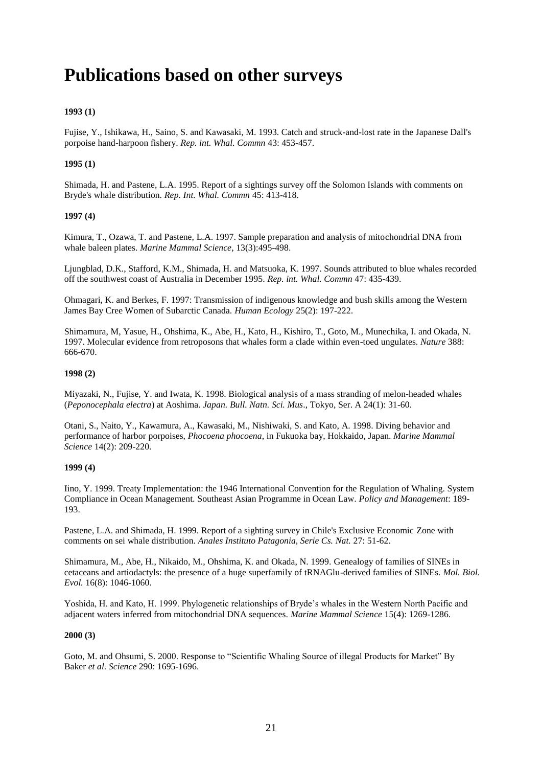# **Publications based on other surveys**

## **1993 (1)**

Fujise, Y., Ishikawa, H., Saino, S. and Kawasaki, M. 1993. Catch and struck-and-lost rate in the Japanese Dall's porpoise hand-harpoon fishery. *Rep. int. Whal. Commn* 43: 453-457.

## **1995 (1)**

Shimada, H. and Pastene, L.A. 1995. Report of a sightings survey off the Solomon Islands with comments on Bryde's whale distribution. *Rep. Int. Whal. Commn* 45: 413-418.

## **1997 (4)**

Kimura, T., Ozawa, T. and Pastene, L.A. 1997. Sample preparation and analysis of mitochondrial DNA from whale baleen plates. *Marine Mammal Science*, 13(3):495-498.

Ljungblad, D.K., Stafford, K.M., Shimada, H. and Matsuoka, K. 1997. Sounds attributed to blue whales recorded off the southwest coast of Australia in December 1995. *Rep. int. Whal. Commn* 47: 435-439.

Ohmagari, K. and Berkes, F. 1997: Transmission of indigenous knowledge and bush skills among the Western James Bay Cree Women of Subarctic Canada. *Human Ecology* 25(2): 197-222.

Shimamura, M, Yasue, H., Ohshima, K., Abe, H., Kato, H., Kishiro, T., Goto, M., Munechika, I. and Okada, N. 1997. Molecular evidence from retroposons that whales form a clade within even-toed ungulates. *Nature* 388: 666-670.

## **1998 (2)**

Miyazaki, N., Fujise, Y. and Iwata, K. 1998. Biological analysis of a mass stranding of melon-headed whales (*Peponocephala electra*) at Aoshima. *Japan. Bull. Natn. Sci. Mus*., Tokyo, Ser. A 24(1): 31-60.

Otani, S., Naito, Y., Kawamura, A., Kawasaki, M., Nishiwaki, S. and Kato, A. 1998. Diving behavior and performance of harbor porpoises, *Phocoena phocoena*, in Fukuoka bay, Hokkaido, Japan. *Marine Mammal Science* 14(2): 209-220.

## **1999 (4)**

Iino, Y. 1999. Treaty Implementation: the 1946 International Convention for the Regulation of Whaling. System Compliance in Ocean Management. Southeast Asian Programme in Ocean Law. *Policy and Management*: 189- 193.

Pastene, L.A. and Shimada, H. 1999. Report of a sighting survey in Chile's Exclusive Economic Zone with comments on sei whale distribution. *Anales Instituto Patagonia, Serie Cs. Nat.* 27: 51-62.

Shimamura, M., Abe, H., Nikaido, M., Ohshima, K. and Okada, N. 1999. Genealogy of families of SINEs in cetaceans and artiodactyls: the presence of a huge superfamily of tRNAGlu-derived families of SINEs. *Mol. Biol. Evol.* 16(8): 1046-1060.

Yoshida, H. and Kato, H. 1999. Phylogenetic relationships of Bryde's whales in the Western North Pacific and adjacent waters inferred from mitochondrial DNA sequences. *Marine Mammal Science* 15(4): 1269-1286.

## **2000 (3)**

Goto, M. and Ohsumi, S. 2000. Response to "Scientific Whaling Source of illegal Products for Market" By Baker *et al*. *Science* 290: 1695-1696.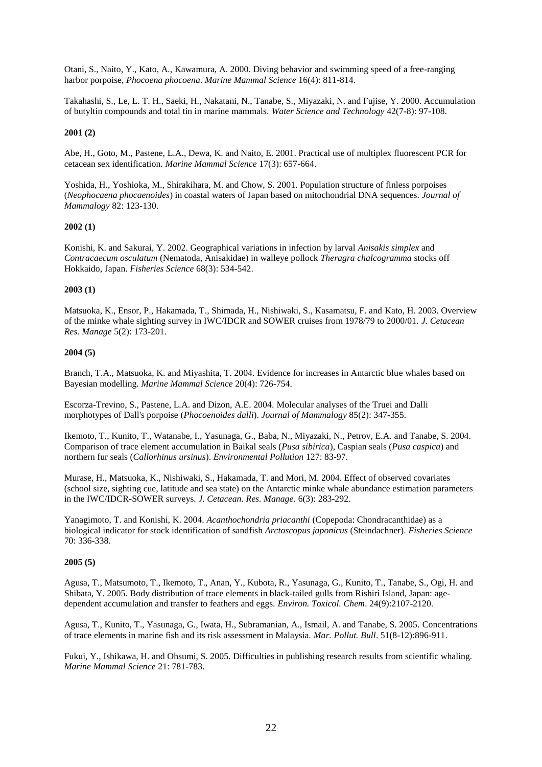Otani, S., Naito, Y., Kato, A., Kawamura, A. 2000. Diving behavior and swimming speed of a free-ranging harbor porpoise, *Phocoena phocoena*. *Marine Mammal Science* 16(4): 811-814.

Takahashi, S., Le, L. T. H., Saeki, H., Nakatani, N., Tanabe, S., Miyazaki, N. and Fujise, Y. 2000. Accumulation of butyltin compounds and total tin in marine mammals. *Water Science and Technology* 42(7-8): 97-108.

#### **2001 (2)**

Abe, H., Goto, M., Pastene, L.A., Dewa, K. and Naito, E. 2001. Practical use of multiplex fluorescent PCR for cetacean sex identification. *Marine Mammal Science* 17(3): 657-664.

Yoshida, H., Yoshioka, M., Shirakihara, M. and Chow, S. 2001. Population structure of finless porpoises (*Neophocaena phocaenoides*) in coastal waters of Japan based on mitochondrial DNA sequences. *Journal of Mammalogy* 82: 123-130.

## **2002 (1)**

Konishi, K. and Sakurai, Y. 2002. Geographical variations in infection by larval *Anisakis simplex* and *Contracaecum osculatum* (Nematoda, Anisakidae) in walleye pollock *Theragra chalcogramma* stocks off Hokkaido, Japan. *Fisheries Science* 68(3): 534-542.

## **2003 (1)**

Matsuoka, K., Ensor, P., Hakamada, T., Shimada, H., Nishiwaki, S., Kasamatsu, F. and Kato, H. 2003. Overview of the minke whale sighting survey in IWC/IDCR and SOWER cruises from 1978/79 to 2000/01. *J. Cetacean Res. Manage* 5(2): 173-201.

## **2004 (5)**

Branch, T.A., Matsuoka, K. and Miyashita, T. 2004. Evidence for increases in Antarctic blue whales based on Bayesian modelling. *Marine Mammal Science* 20(4): 726-754.

Escorza-Trevino, S., Pastene, L.A. and Dizon, A.E. 2004. Molecular analyses of the Truei and Dalli morphotypes of Dall's porpoise (*Phocoenoides dalli*). *Journal of Mammalogy* 85(2): 347-355.

Ikemoto, T., Kunito, T., Watanabe, I., Yasunaga, G., Baba, N., Miyazaki, N., Petrov, E.A. and Tanabe, S. 2004. Comparison of trace element accumulation in Baikal seals (*Pusa sibirica*), Caspian seals (*Pusa caspica*) and northern fur seals (*Callorhinus ursinus*). *Environmental Pollution* 127: 83-97.

Murase, H., Matsuoka, K., Nishiwaki, S., Hakamada, T. and Mori, M. 2004. Effect of observed covariates (school size, sighting cue, latitude and sea state) on the Antarctic minke whale abundance estimation parameters in the IWC/IDCR-SOWER surveys. *J. Cetacean. Res. Manage*. 6(3): 283-292.

Yanagimoto, T. and Konishi, K. 2004. *Acanthochondria priacanthi* (Copepoda: Chondracanthidae) as a biological indicator for stock identification of sandfish *Arctoscopus japonicus* (Steindachner). *Fisheries Science* 70: 336-338.

#### **2005 (5)**

Agusa, T., Matsumoto, T., Ikemoto, T., Anan, Y., Kubota, R., Yasunaga, G., Kunito, T., Tanabe, S., Ogi, H. and Shibata, Y. 2005. Body distribution of trace elements in black-tailed gulls from Rishiri Island, Japan: agedependent accumulation and transfer to feathers and eggs. *Environ. Toxicol. Chem*. 24(9):2107-2120.

Agusa, T., Kunito, T., Yasunaga, G., Iwata, H., Subramanian, A., Ismail, A. and Tanabe, S. 2005. Concentrations of trace elements in marine fish and its risk assessment in Malaysia. *Mar. Pollut. Bull*. 51(8-12):896-911.

Fukui, Y., Ishikawa, H. and Ohsumi, S. 2005. Difficulties in publishing research results from scientific whaling. *Marine Mammal Science* 21: 781-783.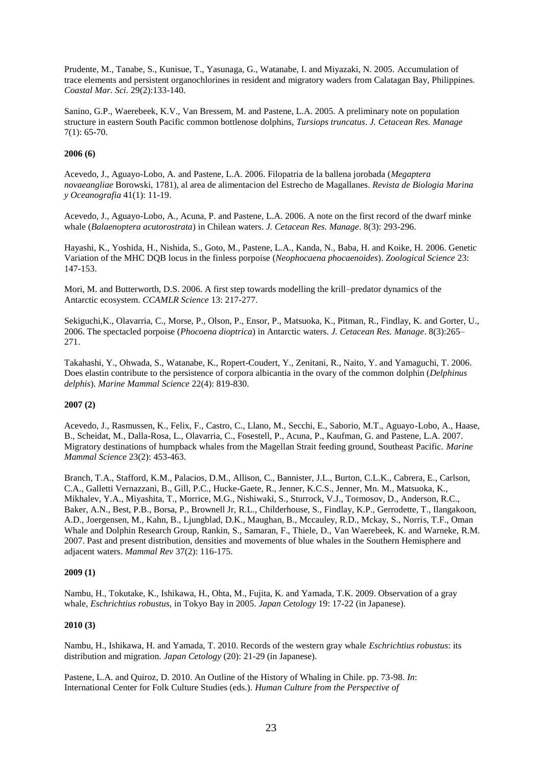Prudente, M., Tanabe, S., Kunisue, T., Yasunaga, G., Watanabe, I. and Miyazaki, N. 2005. Accumulation of trace elements and persistent organochlorines in resident and migratory waders from Calatagan Bay, Philippines. *Coastal Mar. Sci*. 29(2):133-140.

Sanino, G.P., Waerebeek, K.V., Van Bressem, M. and Pastene, L.A. 2005. A preliminary note on population structure in eastern South Pacific common bottlenose dolphins, *Tursiops truncatus*. *J. Cetacean Res. Manage* 7(1): 65-70.

## **2006 (6)**

Acevedo, J., Aguayo-Lobo, A. and Pastene, L.A. 2006. Filopatria de la ballena jorobada (*Megaptera novaeangliae* Borowski, 1781), al area de alimentacion del Estrecho de Magallanes. *Revista de Biologia Marina y Oceanografia* 41(1): 11-19.

Acevedo, J., Aguayo-Lobo, A., Acuna, P. and Pastene, L.A. 2006. A note on the first record of the dwarf minke whale (*Balaenoptera acutorostrata*) in Chilean waters. *J. Cetacean Res. Manage*. 8(3): 293-296.

Hayashi, K., Yoshida, H., Nishida, S., Goto, M., Pastene, L.A., Kanda, N., Baba, H. and Koike, H. 2006. Genetic Variation of the MHC DQB locus in the finless porpoise (*Neophocaena phocaenoides*). *Zoological Science* 23: 147-153.

Mori, M. and Butterworth, D.S. 2006. A first step towards modelling the krill–predator dynamics of the Antarctic ecosystem. *CCAMLR Science* 13: 217-277.

Sekiguchi,K., Olavarria, C., Morse, P., Olson, P., Ensor, P., Matsuoka, K., Pitman, R., Findlay, K. and Gorter, U., 2006. The spectacled porpoise (*Phocoena dioptrica*) in Antarctic waters. *J. Cetacean Res. Manage*. 8(3):265– 271.

Takahashi, Y., Ohwada, S., Watanabe, K., Ropert-Coudert, Y., Zenitani, R., Naito, Y. and Yamaguchi, T. 2006. Does elastin contribute to the persistence of corpora albicantia in the ovary of the common dolphin (*Delphinus delphis*). *Marine Mammal Science* 22(4): 819-830.

## **2007 (2)**

Acevedo, J., Rasmussen, K., Felix, F., Castro, C., Llano, M., Secchi, E., Saborio, M.T., Aguayo-Lobo, A., Haase, B., Scheidat, M., Dalla-Rosa, L., Olavarria, C., Fosestell, P., Acuna, P., Kaufman, G. and Pastene, L.A. 2007. Migratory destinations of humpback whales from the Magellan Strait feeding ground, Southeast Pacific. *Marine Mammal Science* 23(2): 453-463.

Branch, T.A., Stafford, K.M., Palacios, D.M., Allison, C., Bannister, J.L., Burton, C.L.K., Cabrera, E., Carlson, C.A., Galletti Vernazzani, B., Gill, P.C., Hucke-Gaete, R., Jenner, K.C.S., Jenner, Mn. M., Matsuoka, K., Mikhalev, Y.A., Miyashita, T., Morrice, M.G., Nishiwaki, S., Sturrock, V.J., Tormosov, D., Anderson, R.C., Baker, A.N., Best, P.B., Borsa, P., Brownell Jr, R.L., Childerhouse, S., Findlay, K.P., Gerrodette, T., Ilangakoon, A.D., Joergensen, M., Kahn, B., Ljungblad, D.K., Maughan, B., Mccauley, R.D., Mckay, S., Norris, T.F., Oman Whale and Dolphin Research Group, Rankin, S., Samaran, F., Thiele, D., Van Waerebeek, K. and Warneke, R.M. 2007. Past and present distribution, densities and movements of blue whales in the Southern Hemisphere and adjacent waters. *Mammal Rev* 37(2): 116-175.

## **2009 (1)**

Nambu, H., Tokutake, K., Ishikawa, H., Ohta, M., Fujita, K. and Yamada, T.K. 2009. Observation of a gray whale, *Eschrichtius robustus,* in Tokyo Bay in 2005. *Japan Cetology* 19: 17-22 (in Japanese).

## **2010 (3)**

Nambu, H., Ishikawa, H. and Yamada, T. 2010. Records of the western gray whale *Eschrichtius robustus*: its distribution and migration. *Japan Cetology* (20): 21-29 (in Japanese).

Pastene, L.A. and Quiroz, D. 2010. An Outline of the History of Whaling in Chile. pp. 73-98. *In*: International Center for Folk Culture Studies (eds.). *Human Culture from the Perspective of*